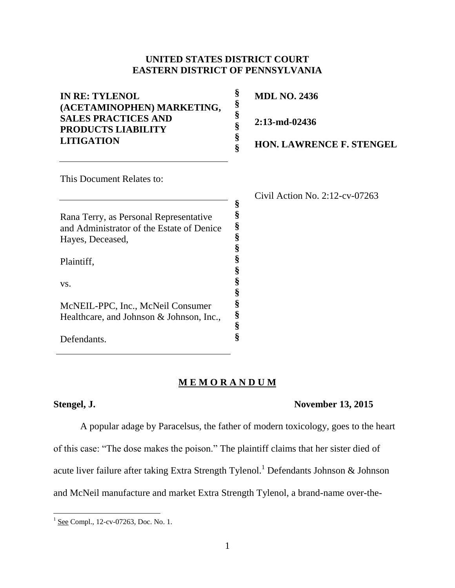# **UNITED STATES DISTRICT COURT EASTERN DISTRICT OF PENNSYLVANIA**

| <b>IN RE: TYLENOL</b><br>(ACETAMINOPHEN) MARKETING,<br><b>SALES PRACTICES AND</b> | §<br>§<br>§ | <b>MDL NO. 2436</b>               |
|-----------------------------------------------------------------------------------|-------------|-----------------------------------|
| <b>PRODUCTS LIABILITY</b>                                                         | §           | 2:13-md-02436                     |
| <b>LITIGATION</b>                                                                 | §           | <b>HON. LAWRENCE F. STENGEL</b>   |
| This Document Relates to:                                                         |             |                                   |
|                                                                                   |             | Civil Action No. $2:12$ -cv-07263 |
|                                                                                   | §           |                                   |
| Rana Terry, as Personal Representative                                            | §           |                                   |
| and Administrator of the Estate of Denice                                         | §           |                                   |
| Hayes, Deceased,                                                                  | §           |                                   |
|                                                                                   | §           |                                   |
| Plaintiff,                                                                        | §           |                                   |
| VS.                                                                               |             |                                   |
|                                                                                   | §           |                                   |
|                                                                                   | §           |                                   |
| McNEIL-PPC, Inc., McNeil Consumer                                                 | §<br>Ş      |                                   |
| Healthcare, and Johnson & Johnson, Inc.,                                          |             |                                   |

# **M E M O R A N D U M**

**§ §**

Defendants.

## **Stengel, J. November 13, 2015**

A popular adage by Paracelsus, the father of modern toxicology, goes to the heart of this case: "The dose makes the poison." The plaintiff claims that her sister died of acute liver failure after taking Extra Strength Tylenol.<sup>1</sup> Defendants Johnson & Johnson and McNeil manufacture and market Extra Strength Tylenol, a brand-name over-the-

<sup>&</sup>lt;sup>1</sup> <u>See</u> Compl., 12-cv-07263, Doc. No. 1.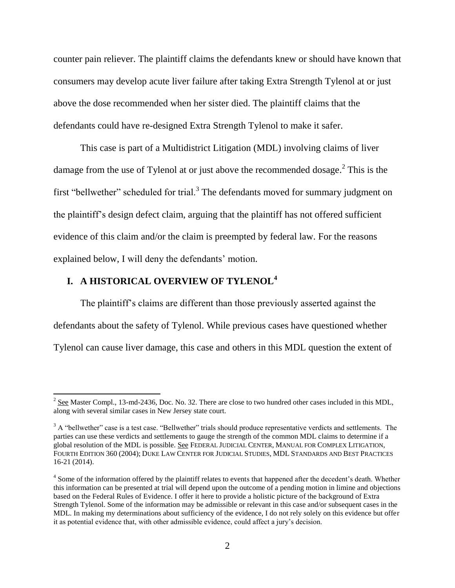counter pain reliever. The plaintiff claims the defendants knew or should have known that consumers may develop acute liver failure after taking Extra Strength Tylenol at or just above the dose recommended when her sister died. The plaintiff claims that the defendants could have re-designed Extra Strength Tylenol to make it safer.

This case is part of a Multidistrict Litigation (MDL) involving claims of liver damage from the use of Tylenol at or just above the recommended dosage.<sup>2</sup> This is the first "bellwether" scheduled for trial. $3$  The defendants moved for summary judgment on the plaintiff's design defect claim, arguing that the plaintiff has not offered sufficient evidence of this claim and/or the claim is preempted by federal law. For the reasons explained below, I will deny the defendants' motion.

# **I. A HISTORICAL OVERVIEW OF TYLENOL<sup>4</sup>**

 $\overline{\phantom{a}}$ 

The plaintiff's claims are different than those previously asserted against the defendants about the safety of Tylenol. While previous cases have questioned whether Tylenol can cause liver damage, this case and others in this MDL question the extent of

 $2^{2}$  See Master Compl., 13-md-2436, Doc. No. 32. There are close to two hundred other cases included in this MDL, along with several similar cases in New Jersey state court.

<sup>&</sup>lt;sup>3</sup> A "bellwether" case is a test case. "Bellwether" trials should produce representative verdicts and settlements. The parties can use these verdicts and settlements to gauge the strength of the common MDL claims to determine if a global resolution of the MDL is possible. See FEDERAL JUDICIAL CENTER, MANUAL FOR COMPLEX LITIGATION, FOURTH EDITION 360 (2004); DUKE LAW CENTER FOR JUDICIAL STUDIES, MDL STANDARDS AND BEST PRACTICES 16-21 (2014).

<sup>&</sup>lt;sup>4</sup> Some of the information offered by the plaintiff relates to events that happened after the decedent's death. Whether this information can be presented at trial will depend upon the outcome of a pending motion in limine and objections based on the Federal Rules of Evidence. I offer it here to provide a holistic picture of the background of Extra Strength Tylenol. Some of the information may be admissible or relevant in this case and/or subsequent cases in the MDL. In making my determinations about sufficiency of the evidence, I do not rely solely on this evidence but offer it as potential evidence that, with other admissible evidence, could affect a jury's decision.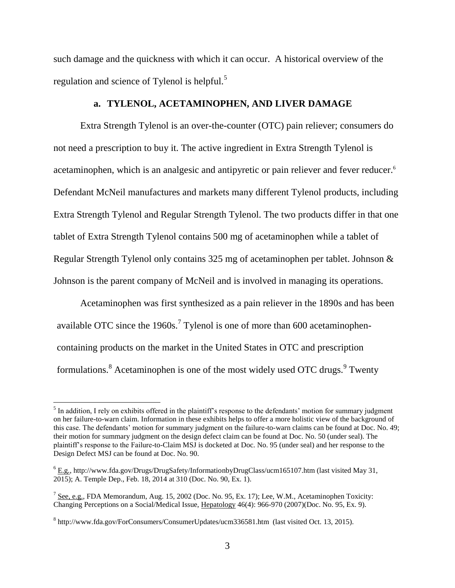such damage and the quickness with which it can occur. A historical overview of the regulation and science of Tylenol is helpful.<sup>5</sup>

# **a. TYLENOL, ACETAMINOPHEN, AND LIVER DAMAGE**

Extra Strength Tylenol is an over-the-counter (OTC) pain reliever; consumers do not need a prescription to buy it. The active ingredient in Extra Strength Tylenol is acetaminophen, which is an analgesic and antipyretic or pain reliever and fever reducer. 6 Defendant McNeil manufactures and markets many different Tylenol products, including Extra Strength Tylenol and Regular Strength Tylenol. The two products differ in that one tablet of Extra Strength Tylenol contains 500 mg of acetaminophen while a tablet of Regular Strength Tylenol only contains 325 mg of acetaminophen per tablet. Johnson & Johnson is the parent company of McNeil and is involved in managing its operations.

Acetaminophen was first synthesized as a pain reliever in the 1890s and has been available OTC since the 1960s.<sup>7</sup> Tylenol is one of more than 600 acetaminophencontaining products on the market in the United States in OTC and prescription formulations.  $8$  Acetaminophen is one of the most widely used OTC drugs.  $9$  Twenty

l

<sup>&</sup>lt;sup>5</sup> In addition, I rely on exhibits offered in the plaintiff's response to the defendants' motion for summary judgment on her failure-to-warn claim. Information in these exhibits helps to offer a more holistic view of the background of this case. The defendants' motion for summary judgment on the failure-to-warn claims can be found at Doc. No. 49; their motion for summary judgment on the design defect claim can be found at Doc. No. 50 (under seal). The plaintiff's response to the Failure-to-Claim MSJ is docketed at Doc. No. 95 (under seal) and her response to the Design Defect MSJ can be found at Doc. No. 90.

<sup>6</sup> E.g., http://www.fda.gov/Drugs/DrugSafety/InformationbyDrugClass/ucm165107.htm (last visited May 31, 2015); A. Temple Dep., Feb. 18, 2014 at 310 (Doc. No. 90, Ex. 1).

 $^7$  See, e.g., FDA Memorandum, Aug. 15, 2002 (Doc. No. 95, Ex. 17); Lee, W.M., Acetaminophen Toxicity: Changing Perceptions on a Social/Medical Issue, Hepatology 46(4): 966-970 (2007)(Doc. No. 95, Ex. 9).

<sup>&</sup>lt;sup>8</sup> http://www.fda.gov/ForConsumers/ConsumerUpdates/ucm336581.htm (last visited Oct. 13, 2015).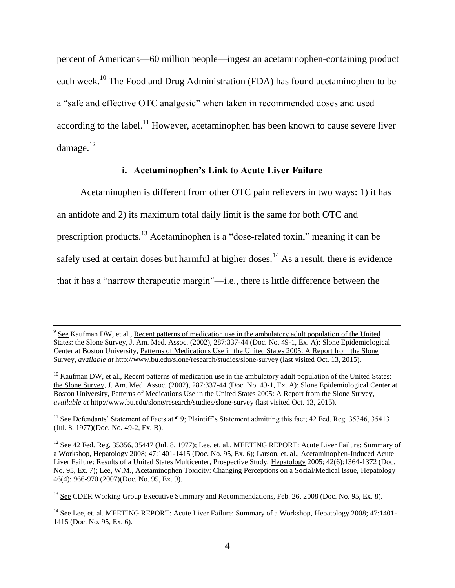percent of Americans—60 million people—ingest an acetaminophen-containing product each week.<sup>10</sup> The Food and Drug Administration (FDA) has found acetaminophen to be a "safe and effective OTC analgesic" when taken in recommended doses and used according to the label.<sup>11</sup> However, acetaminophen has been known to cause severe liver damage.<sup>12</sup>

# **i. Acetaminophen's Link to Acute Liver Failure**

Acetaminophen is different from other OTC pain relievers in two ways: 1) it has an antidote and 2) its maximum total daily limit is the same for both OTC and prescription products.<sup>13</sup> Acetaminophen is a "dose-related toxin," meaning it can be safely used at certain doses but harmful at higher doses.<sup>14</sup> As a result, there is evidence that it has a "narrow therapeutic margin"—i.e., there is little difference between the

<sup>&</sup>lt;sup>9</sup> See Kaufman DW, et al., Recent patterns of medication use in the ambulatory adult population of the United States: the Slone Survey, J. Am. Med. Assoc. (2002), 287:337-44 (Doc. No. 49-1, Ex. A); Slone Epidemiological Center at Boston University, Patterns of Medications Use in the United States 2005: A Report from the Slone Survey, *available at* http://www.bu.edu/slone/research/studies/slone-survey (last visited Oct. 13, 2015).

 $10$  Kaufman DW, et al., Recent patterns of medication use in the ambulatory adult population of the United States: the Slone Survey, J. Am. Med. Assoc. (2002), 287:337-44 (Doc. No. 49-1, Ex. A); Slone Epidemiological Center at Boston University, Patterns of Medications Use in the United States 2005: A Report from the Slone Survey, *available at* http://www.bu.edu/slone/research/studies/slone-survey (last visited Oct. 13, 2015).

<sup>&</sup>lt;sup>11</sup> See Defendants' Statement of Facts at  $\P$  9; Plaintiff's Statement admitting this fact; 42 Fed. Reg. 35346, 35413 (Jul. 8, 1977)(Doc. No. 49-2, Ex. B).

<sup>&</sup>lt;sup>12</sup> See 42 Fed. Reg. 35356, 35447 (Jul. 8, 1977); Lee, et. al., MEETING REPORT: Acute Liver Failure: Summary of a Workshop, Hepatology 2008; 47:1401-1415 (Doc. No. 95, Ex. 6); Larson, et. al., Acetaminophen-Induced Acute Liver Failure: Results of a United States Multicenter, Prospective Study, Hepatology 2005; 42(6):1364-1372 (Doc. No. 95, Ex. 7); Lee, W.M., Acetaminophen Toxicity: Changing Perceptions on a Social/Medical Issue, Hepatology 46(4): 966-970 (2007)(Doc. No. 95, Ex. 9).

<sup>&</sup>lt;sup>13</sup> See CDER Working Group Executive Summary and Recommendations, Feb. 26, 2008 (Doc. No. 95, Ex. 8).

<sup>&</sup>lt;sup>14</sup> See Lee, et. al. MEETING REPORT: Acute Liver Failure: Summary of a Workshop, Hepatology 2008; 47:1401-1415 (Doc. No. 95, Ex. 6).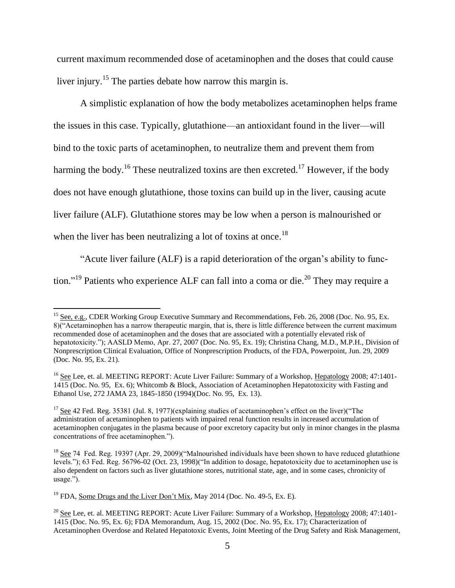current maximum recommended dose of acetaminophen and the doses that could cause liver injury.<sup>15</sup> The parties debate how narrow this margin is.

A simplistic explanation of how the body metabolizes acetaminophen helps frame the issues in this case. Typically, glutathione—an antioxidant found in the liver—will bind to the toxic parts of acetaminophen, to neutralize them and prevent them from harming the body.<sup>16</sup> These neutralized toxins are then excreted.<sup>17</sup> However, if the body does not have enough glutathione, those toxins can build up in the liver, causing acute liver failure (ALF). Glutathione stores may be low when a person is malnourished or when the liver has been neutralizing a lot of toxins at once.<sup>18</sup>

"Acute liver failure (ALF) is a rapid deterioration of the organ's ability to function."<sup>19</sup> Patients who experience ALF can fall into a coma or die.<sup>20</sup> They may require a

<sup>&</sup>lt;sup>15</sup> See, e.g., CDER Working Group Executive Summary and Recommendations, Feb. 26, 2008 (Doc. No. 95, Ex. 8)("Acetaminophen has a narrow therapeutic margin, that is, there is little difference between the current maximum recommended dose of acetaminophen and the doses that are associated with a potentially elevated risk of hepatotoxicity."); AASLD Memo, Apr. 27, 2007 (Doc. No. 95, Ex. 19); Christina Chang, M.D., M.P.H., Division of Nonprescription Clinical Evaluation, Office of Nonprescription Products, of the FDA, Powerpoint, Jun. 29, 2009 (Doc. No. 95, Ex. 21).

<sup>&</sup>lt;sup>16</sup> See Lee, et. al. MEETING REPORT: Acute Liver Failure: Summary of a Workshop, Hepatology 2008; 47:1401-1415 (Doc. No. 95, Ex. 6); Whitcomb & Block, Association of Acetaminophen Hepatotoxicity with Fasting and Ethanol Use, 272 JAMA 23, 1845-1850 (1994)(Doc. No. 95, Ex. 13).

<sup>&</sup>lt;sup>17</sup> See 42 Fed. Reg. 35381 (Jul. 8, 1977)(explaining studies of acetaminophen's effect on the liver)("The administration of acetaminophen to patients with impaired renal function results in increased accumulation of acetaminophen conjugates in the plasma because of poor excretory capacity but only in minor changes in the plasma concentrations of free acetaminophen.").

<sup>&</sup>lt;sup>18</sup> See 74 Fed. Reg. 19397 (Apr. 29, 2009)("Malnourished individuals have been shown to have reduced glutathione levels."); 63 Fed. Reg. 56796-02 (Oct. 23, 1998)("In addition to dosage, hepatotoxicity due to acetaminophen use is also dependent on factors such as liver glutathione stores, nutritional state, age, and in some cases, chronicity of usage.").

 $19$  FDA, Some Drugs and the Liver Don't Mix, May 2014 (Doc. No. 49-5, Ex. E).

 $^{20}$  See Lee, et. al. MEETING REPORT: Acute Liver Failure: Summary of a Workshop, Hepatology 2008; 47:1401-1415 (Doc. No. 95, Ex. 6); FDA Memorandum, Aug. 15, 2002 (Doc. No. 95, Ex. 17); Characterization of Acetaminophen Overdose and Related Hepatotoxic Events, Joint Meeting of the Drug Safety and Risk Management,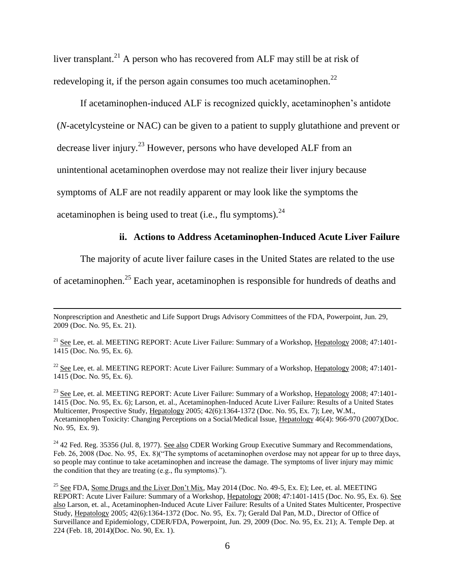liver transplant.<sup>21</sup> A person who has recovered from ALF may still be at risk of redeveloping it, if the person again consumes too much acetaminophen. $^{22}$ 

If acetaminophen-induced ALF is recognized quickly, acetaminophen's antidote

(*N*-acetylcysteine or NAC) can be given to a patient to supply glutathione and prevent or

decrease liver injury.<sup>23</sup> However, persons who have developed ALF from an

unintentional acetaminophen overdose may not realize their liver injury because

symptoms of ALF are not readily apparent or may look like the symptoms the

acetaminophen is being used to treat (i.e., flu symptoms).  $24$ 

 $\overline{a}$ 

# **ii. Actions to Address Acetaminophen-Induced Acute Liver Failure**

The majority of acute liver failure cases in the United States are related to the use

of acetaminophen.<sup>25</sup> Each year, acetaminophen is responsible for hundreds of deaths and

<sup>21</sup> See Lee, et. al. MEETING REPORT: Acute Liver Failure: Summary of a Workshop, Hepatology 2008; 47:1401-1415 (Doc. No. 95, Ex. 6).

 $22$  See Lee, et. al. MEETING REPORT: Acute Liver Failure: Summary of a Workshop, Hepatology 2008; 47:1401-1415 (Doc. No. 95, Ex. 6).

<sup>23</sup> See Lee, et. al. MEETING REPORT: Acute Liver Failure: Summary of a Workshop, Hepatology 2008; 47:1401-1415 (Doc. No. 95, Ex. 6); Larson, et. al., Acetaminophen-Induced Acute Liver Failure: Results of a United States Multicenter, Prospective Study, Hepatology 2005; 42(6):1364-1372 (Doc. No. 95, Ex. 7); Lee, W.M., Acetaminophen Toxicity: Changing Perceptions on a Social/Medical Issue, Hepatology 46(4): 966-970 (2007)(Doc. No. 95, Ex. 9).

 $^{24}$  42 Fed. Reg. 35356 (Jul. 8, 1977). See also CDER Working Group Executive Summary and Recommendations, Feb. 26, 2008 (Doc. No. 95, Ex. 8)("The symptoms of acetaminophen overdose may not appear for up to three days, so people may continue to take acetaminophen and increase the damage. The symptoms of liver injury may mimic the condition that they are treating (e.g., flu symptoms).").

Nonprescription and Anesthetic and Life Support Drugs Advisory Committees of the FDA, Powerpoint, Jun. 29, 2009 (Doc. No. 95, Ex. 21).

<sup>&</sup>lt;sup>25</sup> See FDA, Some Drugs and the Liver Don't Mix, May 2014 (Doc. No. 49-5, Ex. E); Lee, et. al. MEETING REPORT: Acute Liver Failure: Summary of a Workshop, Hepatology 2008; 47:1401-1415 (Doc. No. 95, Ex. 6). See also Larson, et. al., Acetaminophen-Induced Acute Liver Failure: Results of a United States Multicenter, Prospective Study, Hepatology 2005; 42(6):1364-1372 (Doc. No. 95, Ex. 7); Gerald Dal Pan, M.D., Director of Office of Surveillance and Epidemiology, CDER/FDA, Powerpoint, Jun. 29, 2009 (Doc. No. 95, Ex. 21); A. Temple Dep. at 224 (Feb. 18, 2014)(Doc. No. 90, Ex. 1).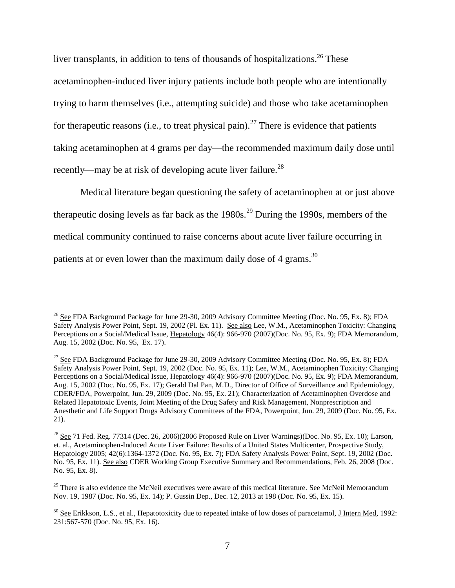liver transplants, in addition to tens of thousands of hospitalizations.<sup>26</sup> These acetaminophen-induced liver injury patients include both people who are intentionally trying to harm themselves (i.e., attempting suicide) and those who take acetaminophen for therapeutic reasons (i.e., to treat physical pain).<sup>27</sup> There is evidence that patients taking acetaminophen at 4 grams per day—the recommended maximum daily dose until recently—may be at risk of developing acute liver failure.<sup>28</sup>

Medical literature began questioning the safety of acetaminophen at or just above therapeutic dosing levels as far back as the  $1980s<sup>29</sup>$  During the 1990s, members of the medical community continued to raise concerns about acute liver failure occurring in patients at or even lower than the maximum daily dose of 4 grams.<sup>30</sup>

l

<sup>&</sup>lt;sup>26</sup> See FDA Background Package for June 29-30, 2009 Advisory Committee Meeting (Doc. No. 95, Ex. 8); FDA Safety Analysis Power Point, Sept. 19, 2002 (Pl. Ex. 11). See also Lee, W.M., Acetaminophen Toxicity: Changing Perceptions on a Social/Medical Issue, Hepatology 46(4): 966-970 (2007)(Doc. No. 95, Ex. 9); FDA Memorandum, Aug. 15, 2002 (Doc. No. 95, Ex. 17).

 $27$  See FDA Background Package for June 29-30, 2009 Advisory Committee Meeting (Doc. No. 95, Ex. 8); FDA Safety Analysis Power Point, Sept. 19, 2002 (Doc. No. 95, Ex. 11); Lee, W.M., Acetaminophen Toxicity: Changing Perceptions on a Social/Medical Issue, Hepatology 46(4): 966-970 (2007)(Doc. No. 95, Ex. 9); FDA Memorandum, Aug. 15, 2002 (Doc. No. 95, Ex. 17); Gerald Dal Pan, M.D., Director of Office of Surveillance and Epidemiology, CDER/FDA, Powerpoint, Jun. 29, 2009 (Doc. No. 95, Ex. 21); Characterization of Acetaminophen Overdose and Related Hepatotoxic Events, Joint Meeting of the Drug Safety and Risk Management, Nonprescription and Anesthetic and Life Support Drugs Advisory Committees of the FDA, Powerpoint, Jun. 29, 2009 (Doc. No. 95, Ex. 21).

<sup>&</sup>lt;sup>28</sup> See 71 Fed. Reg. 77314 (Dec. 26, 2006)(2006 Proposed Rule on Liver Warnings)(Doc. No. 95, Ex. 10); Larson, et. al., Acetaminophen-Induced Acute Liver Failure: Results of a United States Multicenter, Prospective Study, Hepatology 2005; 42(6):1364-1372 (Doc. No. 95, Ex. 7); FDA Safety Analysis Power Point, Sept. 19, 2002 (Doc. No. 95, Ex. 11). See also CDER Working Group Executive Summary and Recommendations, Feb. 26, 2008 (Doc. No. 95, Ex. 8).

<sup>&</sup>lt;sup>29</sup> There is also evidence the McNeil executives were aware of this medical literature. See McNeil Memorandum Nov. 19, 1987 (Doc. No. 95, Ex. 14); P. Gussin Dep., Dec. 12, 2013 at 198 (Doc. No. 95, Ex. 15).

 $30$  See Erikkson, L.S., et al., Hepatotoxicity due to repeated intake of low doses of paracetamol, J Intern Med, 1992: 231:567-570 (Doc. No. 95, Ex. 16).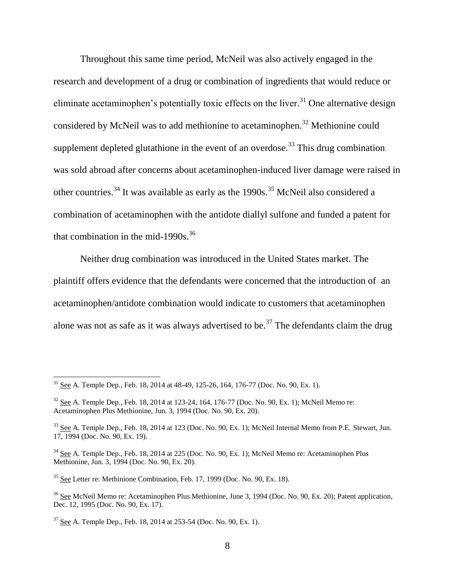Throughout this same time period, McNeil was also actively engaged in the research and development of a drug or combination of ingredients that would reduce or eliminate acetaminophen's potentially toxic effects on the liver.<sup>31</sup> One alternative design considered by McNeil was to add methionine to acetaminophen.<sup>32</sup> Methionine could supplement depleted glutathione in the event of an overdose.<sup>33</sup> This drug combination was sold abroad after concerns about acetaminophen-induced liver damage were raised in other countries.<sup>34</sup> It was available as early as the 1990s.<sup>35</sup> McNeil also considered a combination of acetaminophen with the antidote diallyl sulfone and funded a patent for that combination in the mid-1990s.<sup>36</sup>

Neither drug combination was introduced in the United States market. The plaintiff offers evidence that the defendants were concerned that the introduction of an acetaminophen/antidote combination would indicate to customers that acetaminophen alone was not as safe as it was always advertised to be.<sup>37</sup> The defendants claim the drug

 $31$  See A. Temple Dep., Feb. 18, 2014 at 48-49, 125-26, 164, 176-77 (Doc. No. 90, Ex. 1).

 $32$  See A. Temple Dep., Feb. 18, 2014 at 123-24, 164, 176-77 (Doc. No. 90, Ex. 1); McNeil Memo re: Acetaminophen Plus Methionine, Jun. 3, 1994 (Doc. No. 90, Ex. 20).

<sup>&</sup>lt;sup>33</sup> See A. Temple Dep., Feb. 18, 2014 at 123 (Doc. No. 90, Ex. 1); McNeil Internal Memo from P.E. Stewart, Jun. 17, 1994 (Doc. No. 90, Ex. 19).

<sup>&</sup>lt;sup>34</sup> See A. Temple Dep., Feb. 18, 2014 at 225 (Doc. No. 90, Ex. 1); McNeil Memo re: Acetaminophen Plus Methionine, Jun. 3, 1994 (Doc. No. 90, Ex. 20).

<sup>35</sup> See Letter re: Methinione Combination, Feb. 17, 1999 (Doc. No. 90, Ex. 18).

<sup>&</sup>lt;sup>36</sup> See McNeil Memo re: Acetaminophen Plus Methionine, June 3, 1994 (Doc. No. 90, Ex. 20): Patent application, Dec. 12, 1995 (Doc. No. 90, Ex. 17).

 $37$  See A. Temple Dep., Feb. 18, 2014 at 253-54 (Doc. No. 90, Ex. 1).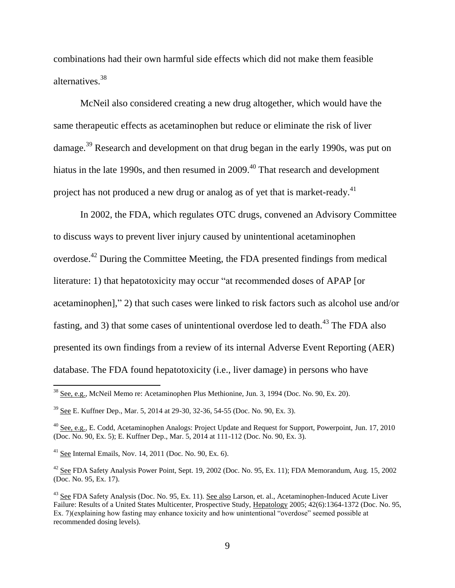combinations had their own harmful side effects which did not make them feasible alternatives. 38

McNeil also considered creating a new drug altogether, which would have the same therapeutic effects as acetaminophen but reduce or eliminate the risk of liver damage.<sup>39</sup> Research and development on that drug began in the early 1990s, was put on hiatus in the late 1990s, and then resumed in 2009.<sup>40</sup> That research and development project has not produced a new drug or analog as of yet that is market-ready.<sup>41</sup>

In 2002, the FDA, which regulates OTC drugs, convened an Advisory Committee to discuss ways to prevent liver injury caused by unintentional acetaminophen overdose.<sup>42</sup> During the Committee Meeting, the FDA presented findings from medical literature: 1) that hepatotoxicity may occur "at recommended doses of APAP [or acetaminophen]," 2) that such cases were linked to risk factors such as alcohol use and/or fasting, and 3) that some cases of unintentional overdose led to death.<sup>43</sup> The FDA also presented its own findings from a review of its internal Adverse Event Reporting (AER) database. The FDA found hepatotoxicity (i.e., liver damage) in persons who have

<sup>&</sup>lt;sup>38</sup> See, e.g., McNeil Memo re: Acetaminophen Plus Methionine, Jun. 3, 1994 (Doc. No. 90, Ex. 20).

<sup>39</sup> See E. Kuffner Dep., Mar. 5, 2014 at 29-30, 32-36, 54-55 (Doc. No. 90, Ex. 3).

<sup>&</sup>lt;sup>40</sup> See, e.g., E. Codd, Acetaminophen Analogs: Project Update and Request for Support, Powerpoint, Jun. 17, 2010 (Doc. No. 90, Ex. 5); E. Kuffner Dep., Mar. 5, 2014 at 111-112 (Doc. No. 90, Ex. 3).

<sup>&</sup>lt;sup>41</sup> See Internal Emails, Nov. 14, 2011 (Doc. No. 90, Ex. 6).

 $42$  See FDA Safety Analysis Power Point, Sept. 19, 2002 (Doc. No. 95, Ex. 11); FDA Memorandum, Aug. 15, 2002 (Doc. No. 95, Ex. 17).

<sup>&</sup>lt;sup>43</sup> See FDA Safety Analysis (Doc. No. 95, Ex. 11). See also Larson, et. al., Acetaminophen-Induced Acute Liver Failure: Results of a United States Multicenter, Prospective Study, Hepatology 2005; 42(6):1364-1372 (Doc. No. 95, Ex. 7)(explaining how fasting may enhance toxicity and how unintentional "overdose" seemed possible at recommended dosing levels).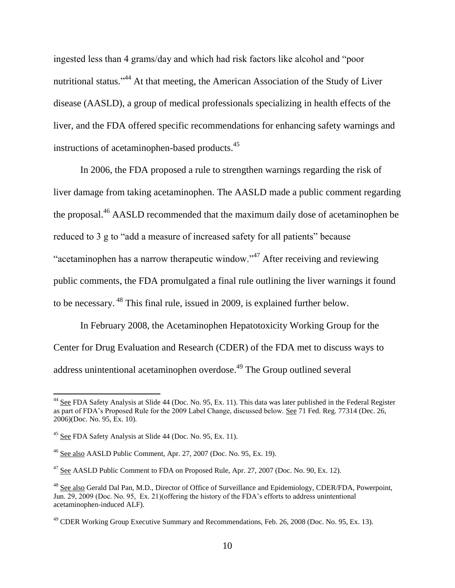ingested less than 4 grams/day and which had risk factors like alcohol and "poor nutritional status."<sup>44</sup> At that meeting, the American Association of the Study of Liver disease (AASLD), a group of medical professionals specializing in health effects of the liver, and the FDA offered specific recommendations for enhancing safety warnings and instructions of acetaminophen-based products.<sup>45</sup>

In 2006, the FDA proposed a rule to strengthen warnings regarding the risk of liver damage from taking acetaminophen. The AASLD made a public comment regarding the proposal.<sup>46</sup> AASLD recommended that the maximum daily dose of acetaminophen be reduced to 3 g to "add a measure of increased safety for all patients" because "acetaminophen has a narrow therapeutic window."<sup>47</sup> After receiving and reviewing public comments, the FDA promulgated a final rule outlining the liver warnings it found to be necessary. <sup>48</sup> This final rule, issued in 2009, is explained further below.

In February 2008, the Acetaminophen Hepatotoxicity Working Group for the Center for Drug Evaluation and Research (CDER) of the FDA met to discuss ways to address unintentional acetaminophen overdose.<sup>49</sup> The Group outlined several

 $44$  See FDA Safety Analysis at Slide 44 (Doc. No. 95, Ex. 11). This data was later published in the Federal Register as part of FDA's Proposed Rule for the 2009 Label Change, discussed below. See 71 Fed. Reg. 77314 (Dec. 26, 2006)(Doc. No. 95, Ex. 10).

<sup>45</sup> See FDA Safety Analysis at Slide 44 (Doc. No. 95, Ex. 11).

<sup>46</sup> See also AASLD Public Comment, Apr. 27, 2007 (Doc. No. 95, Ex. 19).

 $47$  See AASLD Public Comment to FDA on Proposed Rule, Apr. 27, 2007 (Doc. No. 90, Ex. 12).

<sup>&</sup>lt;sup>48</sup> See also Gerald Dal Pan, M.D., Director of Office of Surveillance and Epidemiology, CDER/FDA, Powerpoint, Jun. 29, 2009 (Doc. No. 95, Ex. 21)(offering the history of the FDA's efforts to address unintentional acetaminophen-induced ALF).

<sup>&</sup>lt;sup>49</sup> CDER Working Group Executive Summary and Recommendations, Feb. 26, 2008 (Doc. No. 95, Ex. 13).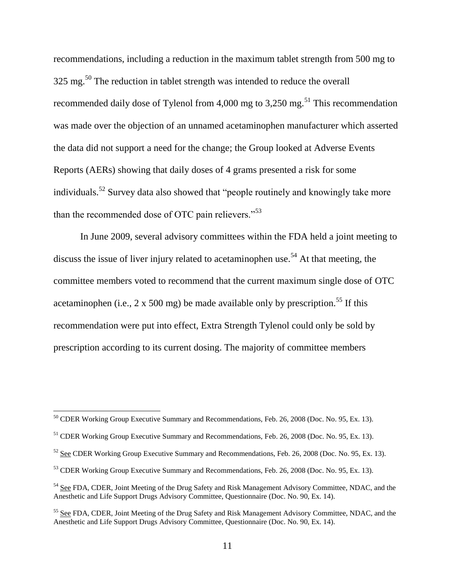recommendations, including a reduction in the maximum tablet strength from 500 mg to  $325 \text{ mg}$ .<sup>50</sup> The reduction in tablet strength was intended to reduce the overall recommended daily dose of Tylenol from 4,000 mg to  $3,250$  mg.<sup>51</sup> This recommendation was made over the objection of an unnamed acetaminophen manufacturer which asserted the data did not support a need for the change; the Group looked at Adverse Events Reports (AERs) showing that daily doses of 4 grams presented a risk for some individuals.<sup>52</sup> Survey data also showed that "people routinely and knowingly take more than the recommended dose of OTC pain relievers."<sup>53</sup>

In June 2009, several advisory committees within the FDA held a joint meeting to discuss the issue of liver injury related to acetaminophen use.<sup>54</sup> At that meeting, the committee members voted to recommend that the current maximum single dose of OTC acetaminophen (i.e.,  $2 \times 500$  mg) be made available only by prescription.<sup>55</sup> If this recommendation were put into effect, Extra Strength Tylenol could only be sold by prescription according to its current dosing. The majority of committee members

 $50$  CDER Working Group Executive Summary and Recommendations, Feb. 26, 2008 (Doc. No. 95, Ex. 13).

<sup>&</sup>lt;sup>51</sup> CDER Working Group Executive Summary and Recommendations, Feb. 26, 2008 (Doc. No. 95, Ex. 13).

<sup>&</sup>lt;sup>52</sup> See CDER Working Group Executive Summary and Recommendations, Feb. 26, 2008 (Doc. No. 95, Ex. 13).

<sup>&</sup>lt;sup>53</sup> CDER Working Group Executive Summary and Recommendations, Feb. 26, 2008 (Doc. No. 95, Ex. 13).

<sup>&</sup>lt;sup>54</sup> See FDA, CDER, Joint Meeting of the Drug Safety and Risk Management Advisory Committee, NDAC, and the Anesthetic and Life Support Drugs Advisory Committee, Questionnaire (Doc. No. 90, Ex. 14).

<sup>55</sup> See FDA, CDER, Joint Meeting of the Drug Safety and Risk Management Advisory Committee, NDAC, and the Anesthetic and Life Support Drugs Advisory Committee, Questionnaire (Doc. No. 90, Ex. 14).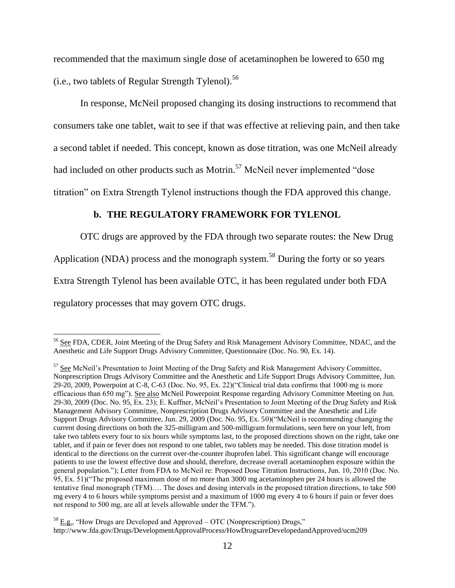recommended that the maximum single dose of acetaminophen be lowered to 650 mg (i.e., two tablets of Regular Strength Tylenol).<sup>56</sup>

In response, McNeil proposed changing its dosing instructions to recommend that consumers take one tablet, wait to see if that was effective at relieving pain, and then take a second tablet if needed. This concept, known as dose titration, was one McNeil already had included on other products such as Motrin.<sup>57</sup> McNeil never implemented "dose titration" on Extra Strength Tylenol instructions though the FDA approved this change.

# **b. THE REGULATORY FRAMEWORK FOR TYLENOL**

OTC drugs are approved by the FDA through two separate routes: the New Drug

Application (NDA) process and the monograph system.<sup>58</sup> During the forty or so years

Extra Strength Tylenol has been available OTC, it has been regulated under both FDA

regulatory processes that may govern OTC drugs.

<sup>&</sup>lt;sup>56</sup> See FDA, CDER, Joint Meeting of the Drug Safety and Risk Management Advisory Committee, NDAC, and the Anesthetic and Life Support Drugs Advisory Committee, Questionnaire (Doc. No. 90, Ex. 14).

<sup>&</sup>lt;sup>57</sup> See McNeil's Presentation to Joint Meeting of the Drug Safety and Risk Management Advisory Committee, Nonprescription Drugs Advisory Committee and the Anesthetic and Life Support Drugs Advisory Committee, Jun. 29-20, 2009, Powerpoint at C-8, C-63 (Doc. No. 95, Ex. 22)("Clinical trial data confirms that 1000 mg is more efficacious than 650 mg"). See also McNeil Powerpoint Response regarding Advisory Committee Meeting on Jun. 29-30, 2009 (Doc. No. 95, Ex. 23); E. Kuffner, McNeil's Presentation to Joint Meeting of the Drug Safety and Risk Management Advisory Committee, Nonprescription Drugs Advisory Committee and the Anesthetic and Life Support Drugs Advisory Committee, Jun. 29, 2009 (Doc. No. 95, Ex. 50)("McNeil is recommending changing the current dosing directions on both the 325-milligram and 500-milligram formulations, seen here on your left, from take two tablets every four to six hours while symptoms last, to the proposed directions shown on the right, take one tablet, and if pain or fever does not respond to one tablet, two tablets may be needed. This dose titration model is identical to the directions on the current over-the-counter ibuprofen label. This significant change will encourage patients to use the lowest effective dose and should, therefore, decrease overall acetaminophen exposure within the general population."); Letter from FDA to McNeil re: Proposed Dose Titration Instructions, Jun. 10, 2010 (Doc. No. 95, Ex. 51)("The proposed maximum dose of no more than 3000 mg acetaminophen per 24 hours is allowed the tentative final monograph (TFM)…. The doses and dosing intervals in the proposed titration directions, to take 500 mg every 4 to 6 hours while symptoms persist and a maximum of 1000 mg every 4 to 6 hours if pain or fever does not respond to 500 mg, are all at levels allowable under the TFM.").

 $58$  E.g., "How Drugs are Developed and Approved – OTC (Nonprescription) Drugs," http://www.fda.gov/Drugs/DevelopmentApprovalProcess/HowDrugsareDevelopedandApproved/ucm209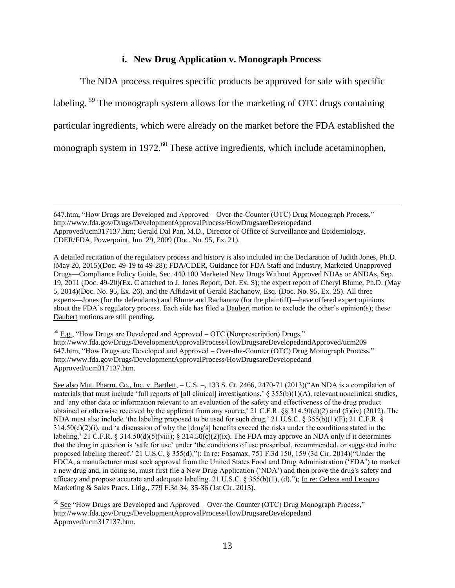# **i. New Drug Application v. Monograph Process**

The NDA process requires specific products be approved for sale with specific labeling.<sup>59</sup> The monograph system allows for the marketing of OTC drugs containing particular ingredients, which were already on the market before the FDA established the monograph system in 1972.<sup>60</sup> These active ingredients, which include acetaminophen,

647.htm; "How Drugs are Developed and Approved – Over-the-Counter (OTC) Drug Monograph Process," http://www.fda.gov/Drugs/DevelopmentApprovalProcess/HowDrugsareDevelopedand Approved/ucm317137.htm; Gerald Dal Pan, M.D., Director of Office of Surveillance and Epidemiology, CDER/FDA, Powerpoint, Jun. 29, 2009 (Doc. No. 95, Ex. 21).

 $\overline{a}$ 

A detailed recitation of the regulatory process and history is also included in: the Declaration of Judith Jones, Ph.D. (May 20, 2015)(Doc. 49-19 to 49-28); FDA/CDER, Guidance for FDA Staff and Industry, Marketed Unapproved Drugs—Compliance Policy Guide, Sec. 440.100 Marketed New Drugs Without Approved NDAs or ANDAs, Sep. 19, 2011 (Doc. 49-20)(Ex. C attached to J. Jones Report, Def. Ex. S); the expert report of Cheryl Blume, Ph.D. (May 5, 2014)(Doc. No. 95, Ex. 26), and the Affidavit of Gerald Rachanow, Esq. (Doc. No. 95, Ex. 25). All three experts—Jones (for the defendants) and Blume and Rachanow (for the plaintiff)—have offered expert opinions about the FDA's regulatory process. Each side has filed a Daubert motion to exclude the other's opinion(s); these Daubert motions are still pending.

 $59$  E.g., "How Drugs are Developed and Approved – OTC (Nonprescription) Drugs," http://www.fda.gov/Drugs/DevelopmentApprovalProcess/HowDrugsareDevelopedandApproved/ucm209 647.htm; "How Drugs are Developed and Approved – Over-the-Counter (OTC) Drug Monograph Process," http://www.fda.gov/Drugs/DevelopmentApprovalProcess/HowDrugsareDevelopedand Approved/ucm317137.htm.

See also Mut. Pharm. Co., Inc. v. Bartlett, – U.S. –, 133 S. Ct. 2466, 2470-71 (2013)("An NDA is a compilation of materials that must include 'full reports of [all clinical] investigations,'  $\S 355(b)(1)(A)$ , relevant nonclinical studies, and 'any other data or information relevant to an evaluation of the safety and effectiveness of the drug product obtained or otherwise received by the applicant from any source,' 21 C.F.R. §§ 314.50(d)(2) and (5)(iv) (2012). The NDA must also include 'the labeling proposed to be used for such drug,' 21 U.S.C. § 355(b)(1)(F); 21 C.F.R. §  $314.50(c)(2)(i)$ , and 'a discussion of why the [drug's] benefits exceed the risks under the conditions stated in the labeling,' 21 C.F.R. § 314.50(d)(5)(viii); § 314.50(c)(2)(ix). The FDA may approve an NDA only if it determines that the drug in question is 'safe for use' under 'the conditions of use prescribed, recommended, or suggested in the proposed labeling thereof.' 21 U.S.C. § 355(d)."); In re: Fosamax, 751 F.3d 150, 159 (3d Cir. 2014)("Under the FDCA, a manufacturer must seek approval from the United States Food and Drug Administration ('FDA') to market a new drug and, in doing so, must first file a New Drug Application ('NDA') and then prove the drug's safety and efficacy and propose accurate and adequate labeling. 21 U.S.C. § 355(b)(1), (d)."); In re: Celexa and Lexapro Marketing & Sales Pracs. Litig., 779 F.3d 34, 35-36 (1st Cir. 2015).

 $60$  See "How Drugs are Developed and Approved – Over-the-Counter (OTC) Drug Monograph Process," http://www.fda.gov/Drugs/DevelopmentApprovalProcess/HowDrugsareDevelopedand Approved/ucm317137.htm.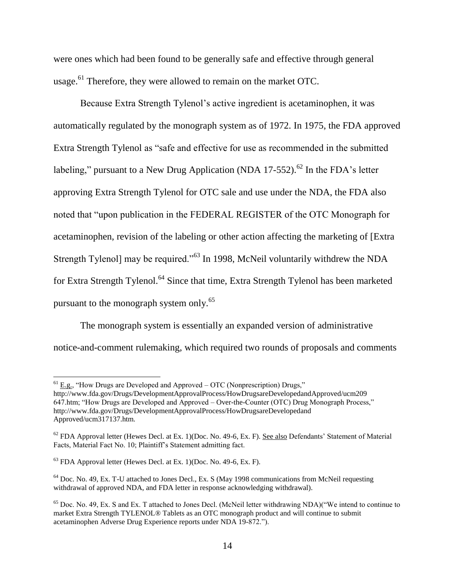were ones which had been found to be generally safe and effective through general usage.<sup>61</sup> Therefore, they were allowed to remain on the market OTC.

Because Extra Strength Tylenol's active ingredient is acetaminophen, it was automatically regulated by the monograph system as of 1972. In 1975, the FDA approved Extra Strength Tylenol as "safe and effective for use as recommended in the submitted labeling," pursuant to a New Drug Application (NDA 17-552).<sup>62</sup> In the FDA's letter approving Extra Strength Tylenol for OTC sale and use under the NDA, the FDA also noted that "upon publication in the FEDERAL REGISTER of the OTC Monograph for acetaminophen, revision of the labeling or other action affecting the marketing of [Extra Strength Tylenol] may be required."<sup>63</sup> In 1998, McNeil voluntarily withdrew the NDA for Extra Strength Tylenol.<sup>64</sup> Since that time, Extra Strength Tylenol has been marketed pursuant to the monograph system only.<sup>65</sup>

The monograph system is essentially an expanded version of administrative notice-and-comment rulemaking, which required two rounds of proposals and comments

 $^{61}$  E.g., "How Drugs are Developed and Approved – OTC (Nonprescription) Drugs,"

http://www.fda.gov/Drugs/DevelopmentApprovalProcess/HowDrugsareDevelopedandApproved/ucm209 647.htm; "How Drugs are Developed and Approved – Over-the-Counter (OTC) Drug Monograph Process," http://www.fda.gov/Drugs/DevelopmentApprovalProcess/HowDrugsareDevelopedand Approved/ucm317137.htm.

 $62$  FDA Approval letter (Hewes Decl. at Ex. 1)(Doc. No. 49-6, Ex. F). See also Defendants' Statement of Material Facts, Material Fact No. 10; Plaintiff's Statement admitting fact.

 $63$  FDA Approval letter (Hewes Decl. at Ex. 1)(Doc. No. 49-6, Ex. F).

 $64$  Doc. No. 49, Ex. T-U attached to Jones Decl., Ex. S (May 1998 communications from McNeil requesting withdrawal of approved NDA, and FDA letter in response acknowledging withdrawal).

<sup>65</sup> Doc. No. 49, Ex. S and Ex. T attached to Jones Decl. (McNeil letter withdrawing NDA)("We intend to continue to market Extra Strength TYLENOL® Tablets as an OTC monograph product and will continue to submit acetaminophen Adverse Drug Experience reports under NDA 19-872.").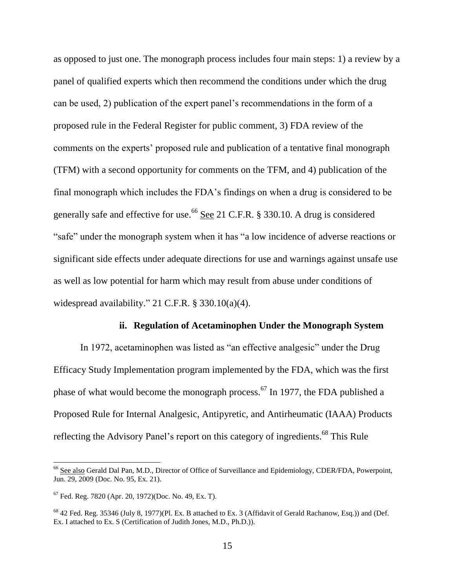as opposed to just one. The monograph process includes four main steps: 1) a review by a panel of qualified experts which then recommend the conditions under which the drug can be used, 2) publication of the expert panel's recommendations in the form of a proposed rule in the Federal Register for public comment, 3) FDA review of the comments on the experts' proposed rule and publication of a tentative final monograph (TFM) with a second opportunity for comments on the TFM, and 4) publication of the final monograph which includes the FDA's findings on when a drug is considered to be generally safe and effective for use.<sup>66</sup> See 21 C.F.R. § 330.10. A drug is considered "safe" under the monograph system when it has "a low incidence of adverse reactions or significant side effects under adequate directions for use and warnings against unsafe use as well as low potential for harm which may result from abuse under conditions of widespread availability." 21 C.F.R. § 330.10(a)(4).

### **ii. Regulation of Acetaminophen Under the Monograph System**

In 1972, acetaminophen was listed as "an effective analgesic" under the Drug Efficacy Study Implementation program implemented by the FDA, which was the first phase of what would become the monograph process.<sup>67</sup> In 1977, the FDA published a Proposed Rule for Internal Analgesic, Antipyretic, and Antirheumatic (IAAA) Products reflecting the Advisory Panel's report on this category of ingredients.<sup>68</sup> This Rule

<sup>&</sup>lt;sup>66</sup> See also Gerald Dal Pan, M.D., Director of Office of Surveillance and Epidemiology, CDER/FDA, Powerpoint, Jun. 29, 2009 (Doc. No. 95, Ex. 21).

 $^{67}$  Fed. Reg. 7820 (Apr. 20, 1972)(Doc. No. 49, Ex. T).

<sup>68</sup> 42 Fed. Reg. 35346 (July 8, 1977)(Pl. Ex. B attached to Ex. 3 (Affidavit of Gerald Rachanow, Esq.)) and (Def. Ex. I attached to Ex. S (Certification of Judith Jones, M.D., Ph.D.)).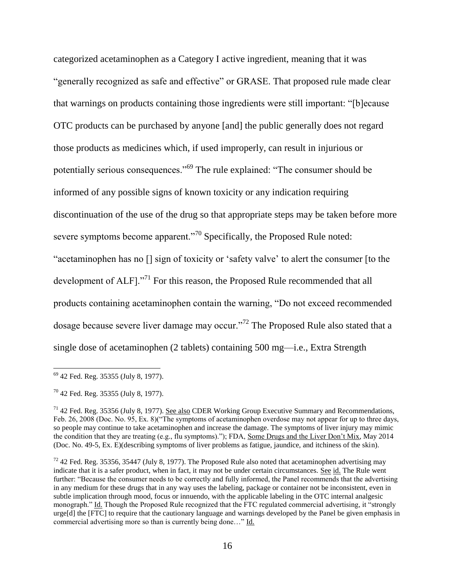categorized acetaminophen as a Category I active ingredient, meaning that it was "generally recognized as safe and effective" or GRASE. That proposed rule made clear that warnings on products containing those ingredients were still important: "[b]ecause OTC products can be purchased by anyone [and] the public generally does not regard those products as medicines which, if used improperly, can result in injurious or potentially serious consequences."<sup>69</sup> The rule explained: "The consumer should be informed of any possible signs of known toxicity or any indication requiring discontinuation of the use of the drug so that appropriate steps may be taken before more severe symptoms become apparent."<sup>70</sup> Specifically, the Proposed Rule noted: "acetaminophen has no [] sign of toxicity or 'safety valve' to alert the consumer [to the development of ALF]."<sup>71</sup> For this reason, the Proposed Rule recommended that all products containing acetaminophen contain the warning, "Do not exceed recommended dosage because severe liver damage may occur."<sup>72</sup> The Proposed Rule also stated that a single dose of acetaminophen (2 tablets) containing 500 mg—i.e., Extra Strength

<sup>&</sup>lt;sup>69</sup> 42 Fed. Reg. 35355 (July 8, 1977).

<sup>70</sup> 42 Fed. Reg. 35355 (July 8, 1977).

 $71$  42 Fed. Reg. 35356 (July 8, 1977). See also CDER Working Group Executive Summary and Recommendations, Feb. 26, 2008 (Doc. No. 95, Ex. 8)("The symptoms of acetaminophen overdose may not appear for up to three days, so people may continue to take acetaminophen and increase the damage. The symptoms of liver injury may mimic the condition that they are treating (e.g., flu symptoms)."); FDA, Some Drugs and the Liver Don't Mix, May 2014 (Doc. No. 49-5, Ex. E)(describing symptoms of liver problems as fatigue, jaundice, and itchiness of the skin).

 $72$  42 Fed. Reg. 35356, 35447 (July 8, 1977). The Proposed Rule also noted that acetaminophen advertising may indicate that it is a safer product, when in fact, it may not be under certain circumstances. See id. The Rule went further: "Because the consumer needs to be correctly and fully informed, the Panel recommends that the advertising in any medium for these drugs that in any way uses the labeling, package or container not be inconsistent, even in subtle implication through mood, focus or innuendo, with the applicable labeling in the OTC internal analgesic monograph." Id. Though the Proposed Rule recognized that the FTC regulated commercial advertising, it "strongly urge[d] the [FTC] to require that the cautionary language and warnings developed by the Panel be given emphasis in commercial advertising more so than is currently being done…" Id.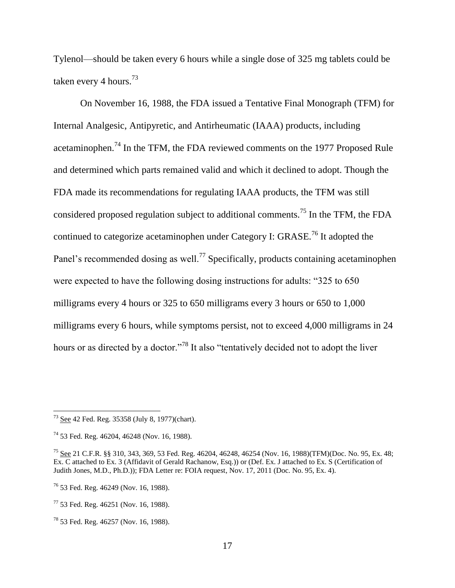Tylenol—should be taken every 6 hours while a single dose of 325 mg tablets could be taken every 4 hours.<sup>73</sup>

On November 16, 1988, the FDA issued a Tentative Final Monograph (TFM) for Internal Analgesic, Antipyretic, and Antirheumatic (IAAA) products, including acetaminophen.<sup>74</sup> In the TFM, the FDA reviewed comments on the 1977 Proposed Rule and determined which parts remained valid and which it declined to adopt. Though the FDA made its recommendations for regulating IAAA products, the TFM was still considered proposed regulation subject to additional comments.<sup>75</sup> In the TFM, the FDA continued to categorize acetaminophen under Category I: GRASE.<sup>76</sup> It adopted the Panel's recommended dosing as well.<sup>77</sup> Specifically, products containing acetaminophen were expected to have the following dosing instructions for adults: "325 to 650 milligrams every 4 hours or 325 to 650 milligrams every 3 hours or 650 to 1,000 milligrams every 6 hours, while symptoms persist, not to exceed 4,000 milligrams in 24 hours or as directed by a doctor."<sup>78</sup> It also "tentatively decided not to adopt the liver

 $73$  See 42 Fed. Reg. 35358 (July 8, 1977)(chart).

<sup>74</sup> 53 Fed. Reg. 46204, 46248 (Nov. 16, 1988).

<sup>75</sup> See 21 C.F.R. §§ 310, 343, 369, 53 Fed. Reg. 46204, 46248, 46254 (Nov. 16, 1988)(TFM)(Doc. No. 95, Ex. 48; Ex. C attached to Ex. 3 (Affidavit of Gerald Rachanow, Esq.)) or (Def. Ex. J attached to Ex. S (Certification of Judith Jones, M.D., Ph.D.)); FDA Letter re: FOIA request, Nov. 17, 2011 (Doc. No. 95, Ex. 4).

<sup>76</sup> 53 Fed. Reg. 46249 (Nov. 16, 1988).

 $77$  53 Fed. Reg. 46251 (Nov. 16, 1988).

<sup>78</sup> 53 Fed. Reg. 46257 (Nov. 16, 1988).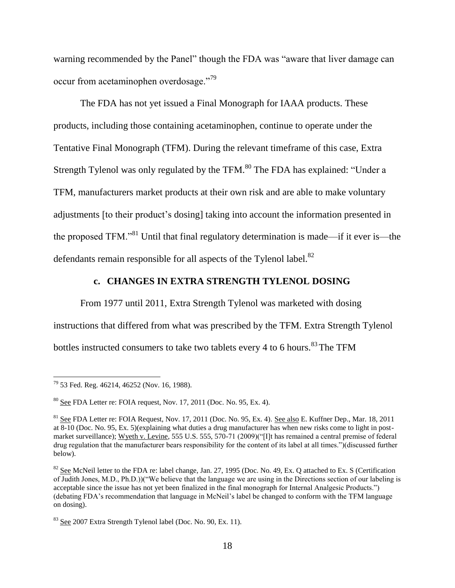warning recommended by the Panel" though the FDA was "aware that liver damage can occur from acetaminophen overdosage."<sup>79</sup>

The FDA has not yet issued a Final Monograph for IAAA products. These products, including those containing acetaminophen, continue to operate under the Tentative Final Monograph (TFM). During the relevant timeframe of this case, Extra Strength Tylenol was only regulated by the TFM.<sup>80</sup> The FDA has explained: "Under a TFM, manufacturers market products at their own risk and are able to make voluntary adjustments [to their product's dosing] taking into account the information presented in the proposed TFM."<sup>81</sup> Until that final regulatory determination is made—if it ever is—the defendants remain responsible for all aspects of the Tylenol label. $82$ 

## **c. CHANGES IN EXTRA STRENGTH TYLENOL DOSING**

From 1977 until 2011, Extra Strength Tylenol was marketed with dosing instructions that differed from what was prescribed by the TFM. Extra Strength Tylenol bottles instructed consumers to take two tablets every 4 to 6 hours.<sup>83</sup> The TFM

<sup>&</sup>lt;sup>79</sup> 53 Fed. Reg. 46214, 46252 (Nov. 16, 1988).

 $80$  See FDA Letter re: FOIA request, Nov. 17, 2011 (Doc. No. 95, Ex. 4).

 $81$  See FDA Letter re: FOIA Request, Nov. 17, 2011 (Doc. No. 95, Ex. 4). See also E. Kuffner Dep., Mar. 18, 2011 at 8-10 (Doc. No. 95, Ex. 5)(explaining what duties a drug manufacturer has when new risks come to light in postmarket surveillance); Wyeth v. Levine, 555 U.S. 555, 570-71 (2009)("[I]t has remained a central premise of federal drug regulation that the manufacturer bears responsibility for the content of its label at all times.")(discussed further below).

<sup>&</sup>lt;sup>82</sup> See McNeil letter to the FDA re: label change, Jan. 27, 1995 (Doc. No. 49, Ex. Q attached to Ex. S (Certification of Judith Jones, M.D., Ph.D.))("We believe that the language we are using in the Directions section of our labeling is acceptable since the issue has not yet been finalized in the final monograph for Internal Analgesic Products.") (debating FDA's recommendation that language in McNeil's label be changed to conform with the TFM language on dosing).

<sup>83</sup> See 2007 Extra Strength Tylenol label (Doc. No. 90, Ex. 11).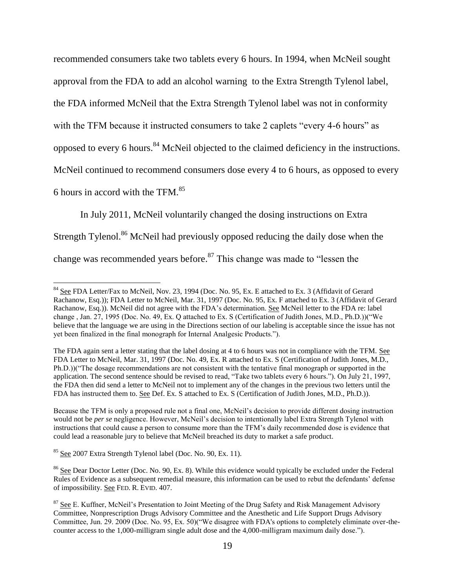recommended consumers take two tablets every 6 hours. In 1994, when McNeil sought approval from the FDA to add an alcohol warning to the Extra Strength Tylenol label, the FDA informed McNeil that the Extra Strength Tylenol label was not in conformity with the TFM because it instructed consumers to take 2 caplets "every 4-6 hours" as opposed to every 6 hours.<sup>84</sup> McNeil objected to the claimed deficiency in the instructions. McNeil continued to recommend consumers dose every 4 to 6 hours, as opposed to every 6 hours in accord with the TFM.<sup>85</sup>

In July 2011, McNeil voluntarily changed the dosing instructions on Extra Strength Tylenol.<sup>86</sup> McNeil had previously opposed reducing the daily dose when the change was recommended years before.<sup>87</sup> This change was made to "lessen the

<sup>85</sup> See 2007 Extra Strength Tylenol label (Doc. No. 90, Ex. 11).

<sup>&</sup>lt;sup>84</sup> See FDA Letter/Fax to McNeil, Nov. 23, 1994 (Doc. No. 95, Ex. E attached to Ex. 3 (Affidavit of Gerard Rachanow, Esq.)); FDA Letter to McNeil, Mar. 31, 1997 (Doc. No. 95, Ex. F attached to Ex. 3 (Affidavit of Gerard Rachanow, Esq.)). McNeil did not agree with the FDA's determination. See McNeil letter to the FDA re: label change , Jan. 27, 1995 (Doc. No. 49, Ex. Q attached to Ex. S (Certification of Judith Jones, M.D., Ph.D.))("We believe that the language we are using in the Directions section of our labeling is acceptable since the issue has not yet been finalized in the final monograph for Internal Analgesic Products.").

The FDA again sent a letter stating that the label dosing at 4 to 6 hours was not in compliance with the TFM. See FDA Letter to McNeil, Mar. 31, 1997 (Doc. No. 49, Ex. R attached to Ex. S (Certification of Judith Jones, M.D., Ph.D.))("The dosage recommendations are not consistent with the tentative final monograph or supported in the application. The second sentence should be revised to read, "Take two tablets every 6 hours."). On July 21, 1997, the FDA then did send a letter to McNeil not to implement any of the changes in the previous two letters until the FDA has instructed them to. See Def. Ex. S attached to Ex. S (Certification of Judith Jones, M.D., Ph.D.)).

Because the TFM is only a proposed rule not a final one, McNeil's decision to provide different dosing instruction would not be *per se* negligence. However, McNeil's decision to intentionally label Extra Strength Tylenol with instructions that could cause a person to consume more than the TFM's daily recommended dose is evidence that could lead a reasonable jury to believe that McNeil breached its duty to market a safe product.

<sup>&</sup>lt;sup>86</sup> See Dear Doctor Letter (Doc. No. 90, Ex. 8). While this evidence would typically be excluded under the Federal Rules of Evidence as a subsequent remedial measure, this information can be used to rebut the defendants' defense of impossibility. See FED. R. EVID. 407.

<sup>&</sup>lt;sup>87</sup> See E. Kuffner, McNeil's Presentation to Joint Meeting of the Drug Safety and Risk Management Advisory Committee, Nonprescription Drugs Advisory Committee and the Anesthetic and Life Support Drugs Advisory Committee, Jun. 29. 2009 (Doc. No. 95, Ex. 50)("We disagree with FDA's options to completely eliminate over-thecounter access to the 1,000-milligram single adult dose and the 4,000-milligram maximum daily dose.").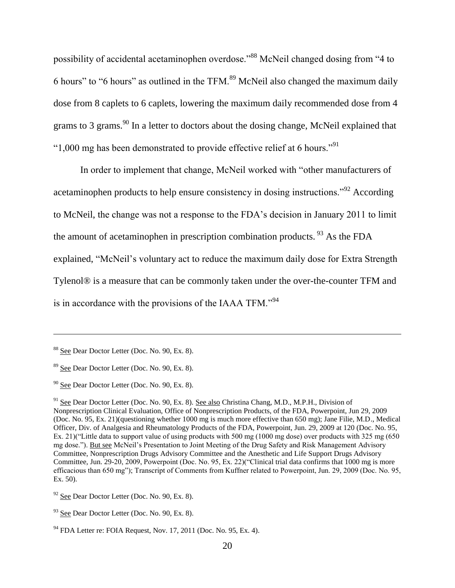possibility of accidental acetaminophen overdose."<sup>88</sup> McNeil changed dosing from "4 to 6 hours" to "6 hours" as outlined in the TFM.<sup>89</sup> McNeil also changed the maximum daily dose from 8 caplets to 6 caplets, lowering the maximum daily recommended dose from 4 grams to 3 grams.<sup>90</sup> In a letter to doctors about the dosing change, McNeil explained that " $1,000$  mg has been demonstrated to provide effective relief at 6 hours."<sup>91</sup>

In order to implement that change, McNeil worked with "other manufacturers of acetaminophen products to help ensure consistency in dosing instructions."<sup>92</sup> According to McNeil, the change was not a response to the FDA's decision in January 2011 to limit the amount of acetaminophen in prescription combination products.  $93$  As the FDA explained, "McNeil's voluntary act to reduce the maximum daily dose for Extra Strength Tylenol® is a measure that can be commonly taken under the over-the-counter TFM and is in accordance with the provisions of the IAAA TFM."<sup>94</sup>

<sup>88</sup> See Dear Doctor Letter (Doc. No. 90, Ex. 8).

<sup>&</sup>lt;sup>89</sup> See Dear Doctor Letter (Doc. No. 90, Ex. 8).

 $90$  See Dear Doctor Letter (Doc. No.  $90$ , Ex. 8).

<sup>&</sup>lt;sup>91</sup> See Dear Doctor Letter (Doc. No. 90, Ex. 8). See also Christina Chang, M.D., M.P.H., Division of Nonprescription Clinical Evaluation, Office of Nonprescription Products, of the FDA, Powerpoint, Jun 29, 2009 (Doc. No. 95, Ex. 21)(questioning whether 1000 mg is much more effective than 650 mg); Jane Filie, M.D., Medical Officer, Div. of Analgesia and Rheumatology Products of the FDA, Powerpoint, Jun. 29, 2009 at 120 (Doc. No. 95, Ex. 21)("Little data to support value of using products with 500 mg (1000 mg dose) over products with 325 mg (650 mg dose."). But see McNeil's Presentation to Joint Meeting of the Drug Safety and Risk Management Advisory Committee, Nonprescription Drugs Advisory Committee and the Anesthetic and Life Support Drugs Advisory Committee, Jun. 29-20, 2009, Powerpoint (Doc. No. 95, Ex. 22)("Clinical trial data confirms that 1000 mg is more efficacious than 650 mg"); Transcript of Comments from Kuffner related to Powerpoint, Jun. 29, 2009 (Doc. No. 95, Ex. 50).

 $92$  See Dear Doctor Letter (Doc. No. 90, Ex. 8).

<sup>&</sup>lt;sup>93</sup> See Dear Doctor Letter (Doc. No. 90, Ex. 8).

 $94$  FDA Letter re: FOIA Request, Nov. 17, 2011 (Doc. No. 95, Ex. 4).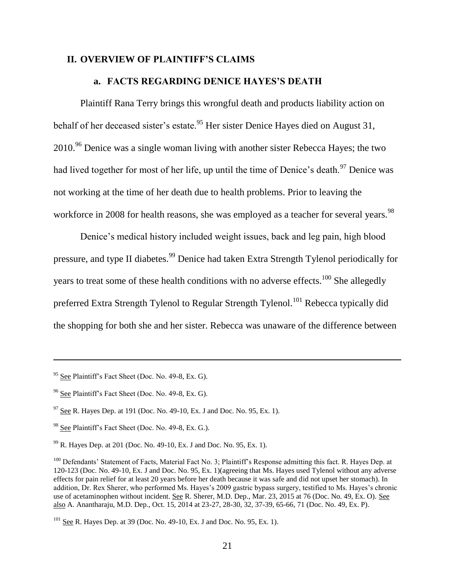#### **II. OVERVIEW OF PLAINTIFF'S CLAIMS**

#### **a. FACTS REGARDING DENICE HAYES'S DEATH**

Plaintiff Rana Terry brings this wrongful death and products liability action on behalf of her deceased sister's estate.<sup>95</sup> Her sister Denice Hayes died on August 31, 2010.<sup>96</sup> Denice was a single woman living with another sister Rebecca Hayes; the two had lived together for most of her life, up until the time of Denice's death.<sup>97</sup> Denice was not working at the time of her death due to health problems. Prior to leaving the workforce in 2008 for health reasons, she was employed as a teacher for several years.<sup>98</sup>

Denice's medical history included weight issues, back and leg pain, high blood pressure, and type II diabetes.<sup>99</sup> Denice had taken Extra Strength Tylenol periodically for years to treat some of these health conditions with no adverse effects.<sup>100</sup> She allegedly preferred Extra Strength Tylenol to Regular Strength Tylenol.<sup>101</sup> Rebecca typically did the shopping for both she and her sister. Rebecca was unaware of the difference between

<sup>&</sup>lt;sup>95</sup> See Plaintiff's Fact Sheet (Doc. No. 49-8, Ex. G).

<sup>&</sup>lt;sup>96</sup> See Plaintiff's Fact Sheet (Doc. No. 49-8, Ex. G).

 $97$  See R. Hayes Dep. at 191 (Doc. No. 49-10, Ex. J and Doc. No. 95, Ex. 1).

<sup>98</sup> See Plaintiff's Fact Sheet (Doc. No. 49-8, Ex. G.).

 $99$  R. Hayes Dep. at 201 (Doc. No. 49-10, Ex. J and Doc. No. 95, Ex. 1).

<sup>&</sup>lt;sup>100</sup> Defendants' Statement of Facts, Material Fact No. 3; Plaintiff's Response admitting this fact. R. Hayes Dep. at 120-123 (Doc. No. 49-10, Ex. J and Doc. No. 95, Ex. 1)(agreeing that Ms. Hayes used Tylenol without any adverse effects for pain relief for at least 20 years before her death because it was safe and did not upset her stomach). In addition, Dr. Rex Sherer, who performed Ms. Hayes's 2009 gastric bypass surgery, testified to Ms. Hayes's chronic use of acetaminophen without incident. See R. Sherer, M.D. Dep., Mar. 23, 2015 at 76 (Doc. No. 49, Ex. O). See also A. Anantharaju, M.D. Dep., Oct. 15, 2014 at 23-27, 28-30, 32, 37-39, 65-66, 71 (Doc. No. 49, Ex. P).

 $101$  See R. Hayes Dep. at 39 (Doc. No. 49-10, Ex. J and Doc. No. 95, Ex. 1).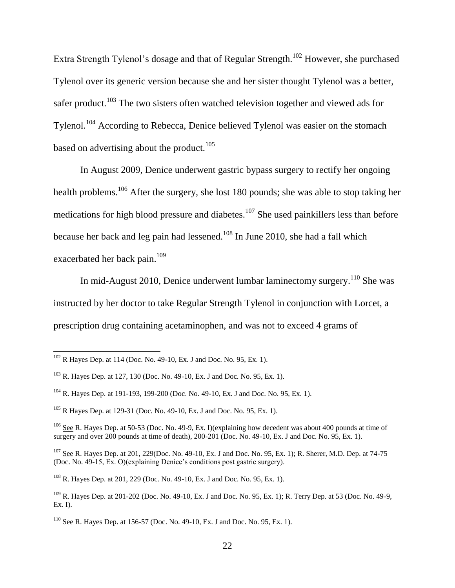Extra Strength Tylenol's dosage and that of Regular Strength.<sup>102</sup> However, she purchased Tylenol over its generic version because she and her sister thought Tylenol was a better, safer product.<sup>103</sup> The two sisters often watched television together and viewed ads for Tylenol.<sup>104</sup> According to Rebecca, Denice believed Tylenol was easier on the stomach based on advertising about the product.<sup>105</sup>

In August 2009, Denice underwent gastric bypass surgery to rectify her ongoing health problems.<sup>106</sup> After the surgery, she lost 180 pounds; she was able to stop taking her medications for high blood pressure and diabetes.<sup>107</sup> She used painkillers less than before because her back and leg pain had lessened.<sup>108</sup> In June 2010, she had a fall which exacerbated her back pain.<sup>109</sup>

In mid-August 2010, Denice underwent lumbar laminectomy surgery.<sup>110</sup> She was instructed by her doctor to take Regular Strength Tylenol in conjunction with Lorcet, a prescription drug containing acetaminophen, and was not to exceed 4 grams of

l

 $102$  R Hayes Dep. at 114 (Doc. No. 49-10, Ex. J and Doc. No. 95, Ex. 1).

<sup>103</sup> R. Hayes Dep. at 127, 130 (Doc. No. 49-10, Ex. J and Doc. No. 95, Ex. 1).

<sup>104</sup> R. Hayes Dep. at 191-193, 199-200 (Doc. No. 49-10, Ex. J and Doc. No. 95, Ex. 1).

<sup>105</sup> R Hayes Dep. at 129-31 (Doc. No. 49-10, Ex. J and Doc. No. 95, Ex. 1).

<sup>&</sup>lt;sup>106</sup> See R. Hayes Dep. at 50-53 (Doc. No. 49-9, Ex. I)(explaining how decedent was about 400 pounds at time of surgery and over 200 pounds at time of death), 200-201 (Doc. No. 49-10, Ex. J and Doc. No. 95, Ex. 1).

<sup>&</sup>lt;sup>107</sup> See R. Hayes Dep. at 201, 229(Doc. No. 49-10, Ex. J and Doc. No. 95, Ex. 1); R. Sherer, M.D. Dep. at 74-75 (Doc. No. 49-15, Ex. O)(explaining Denice's conditions post gastric surgery).

 $108$  R. Haves Dep. at 201, 229 (Doc. No. 49-10, Ex. J and Doc. No. 95, Ex. 1).

<sup>109</sup> R. Hayes Dep. at 201-202 (Doc. No. 49-10, Ex. J and Doc. No. 95, Ex. 1); R. Terry Dep. at 53 (Doc. No. 49-9, Ex. I).

<sup>&</sup>lt;sup>110</sup> See R. Hayes Dep. at 156-57 (Doc. No. 49-10, Ex. J and Doc. No. 95, Ex. 1).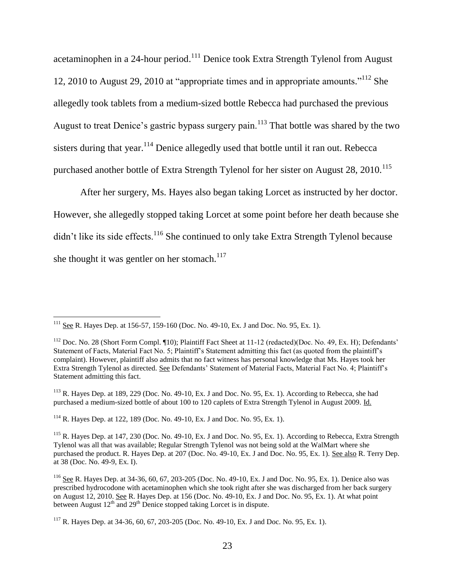acetaminophen in a 24-hour period.<sup>111</sup> Denice took Extra Strength Tylenol from August 12, 2010 to August 29, 2010 at "appropriate times and in appropriate amounts."<sup>112</sup> She allegedly took tablets from a medium-sized bottle Rebecca had purchased the previous August to treat Denice's gastric bypass surgery pain.<sup>113</sup> That bottle was shared by the two sisters during that year.<sup>114</sup> Denice allegedly used that bottle until it ran out. Rebecca purchased another bottle of Extra Strength Tylenol for her sister on August 28, 2010.<sup>115</sup>

After her surgery, Ms. Hayes also began taking Lorcet as instructed by her doctor. However, she allegedly stopped taking Lorcet at some point before her death because she  $\frac{di}{dt}$  it like its side effects.<sup>116</sup> She continued to only take Extra Strength Tylenol because she thought it was gentler on her stomach. $117$ 

 $\overline{\phantom{a}}$ 

<sup>114</sup> R. Hayes Dep. at 122, 189 (Doc. No. 49-10, Ex. J and Doc. No. 95, Ex. 1).

 $^{111}$  See R. Hayes Dep. at 156-57, 159-160 (Doc. No. 49-10, Ex. J and Doc. No. 95, Ex. 1).

<sup>&</sup>lt;sup>112</sup> Doc. No. 28 (Short Form Compl. ¶10); Plaintiff Fact Sheet at 11-12 (redacted)(Doc. No. 49, Ex. H); Defendants' Statement of Facts, Material Fact No. 5; Plaintiff's Statement admitting this fact (as quoted from the plaintiff's complaint). However, plaintiff also admits that no fact witness has personal knowledge that Ms. Hayes took her Extra Strength Tylenol as directed. See Defendants' Statement of Material Facts, Material Fact No. 4; Plaintiff's Statement admitting this fact.

<sup>&</sup>lt;sup>113</sup> R. Hayes Dep. at 189, 229 (Doc. No. 49-10, Ex. J and Doc. No. 95, Ex. 1). According to Rebecca, she had purchased a medium-sized bottle of about 100 to 120 caplets of Extra Strength Tylenol in August 2009. Id.

<sup>&</sup>lt;sup>115</sup> R. Hayes Dep. at 147, 230 (Doc. No. 49-10, Ex. J and Doc. No. 95, Ex. 1). According to Rebecca, Extra Strength Tylenol was all that was available; Regular Strength Tylenol was not being sold at the WalMart where she purchased the product. R. Hayes Dep. at 207 (Doc. No. 49-10, Ex. J and Doc. No. 95, Ex. 1). See also R. Terry Dep. at 38 (Doc. No. 49-9, Ex. I).

<sup>&</sup>lt;sup>116</sup> See R. Hayes Dep. at 34-36, 60, 67, 203-205 (Doc. No. 49-10, Ex. J and Doc. No. 95, Ex. 1). Denice also was prescribed hydrocodone with acetaminophen which she took right after she was discharged from her back surgery on August 12, 2010. See R. Hayes Dep. at 156 (Doc. No. 49-10, Ex. J and Doc. No. 95, Ex. 1). At what point between August  $12^{th}$  and  $29^{th}$  Denice stopped taking Lorcet is in dispute.

<sup>&</sup>lt;sup>117</sup> R. Hayes Dep. at 34-36, 60, 67, 203-205 (Doc. No. 49-10, Ex. J and Doc. No. 95, Ex. 1).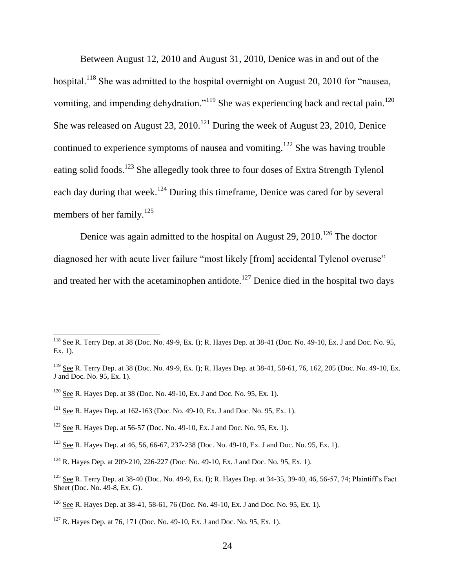Between August 12, 2010 and August 31, 2010, Denice was in and out of the hospital.<sup>118</sup> She was admitted to the hospital overnight on August 20, 2010 for "nausea, vomiting, and impending dehydration."<sup>119</sup> She was experiencing back and rectal pain.<sup>120</sup> She was released on August 23,  $2010$ .<sup>121</sup> During the week of August 23, 2010, Denice continued to experience symptoms of nausea and vomiting.<sup>122</sup> She was having trouble eating solid foods.<sup>123</sup> She allegedly took three to four doses of Extra Strength Tylenol each day during that week.<sup>124</sup> During this timeframe, Denice was cared for by several members of her family.<sup>125</sup>

Denice was again admitted to the hospital on August 29,  $2010$ .<sup>126</sup> The doctor diagnosed her with acute liver failure "most likely [from] accidental Tylenol overuse" and treated her with the acetaminophen antidote.<sup>127</sup> Denice died in the hospital two days

<sup>120</sup> See R. Hayes Dep. at 38 (Doc. No. 49-10, Ex. J and Doc. No. 95, Ex. 1).

- <sup>121</sup> See R. Hayes Dep. at 162-163 (Doc. No. 49-10, Ex. J and Doc. No. 95, Ex. 1).
- <sup>122</sup> See R. Hayes Dep. at 56-57 (Doc. No. 49-10, Ex. J and Doc. No. 95, Ex. 1).
- <sup>123</sup> See R. Hayes Dep. at 46, 56, 66-67, 237-238 (Doc. No. 49-10, Ex. J and Doc. No. 95, Ex. 1).

 $118$  See R. Terry Dep. at 38 (Doc. No. 49-9, Ex. I); R. Hayes Dep. at 38-41 (Doc. No. 49-10, Ex. J and Doc. No. 95, Ex. 1).

<sup>119</sup> See R. Terry Dep. at 38 (Doc. No. 49-9, Ex. I); R. Hayes Dep. at 38-41, 58-61, 76, 162, 205 (Doc. No. 49-10, Ex. J and Doc. No. 95, Ex. 1).

<sup>124</sup> R. Hayes Dep. at 209-210, 226-227 (Doc. No. 49-10, Ex. J and Doc. No. 95, Ex. 1).

<sup>&</sup>lt;sup>125</sup> See R. Terry Dep. at 38-40 (Doc. No. 49-9, Ex. I); R. Hayes Dep. at 34-35, 39-40, 46, 56-57, 74; Plaintiff's Fact Sheet (Doc. No. 49-8, Ex. G).

<sup>126</sup> See R. Hayes Dep. at 38-41, 58-61, 76 (Doc. No. 49-10, Ex. J and Doc. No. 95, Ex. 1).

 $127$  R. Hayes Dep. at 76, 171 (Doc. No. 49-10, Ex. J and Doc. No. 95, Ex. 1).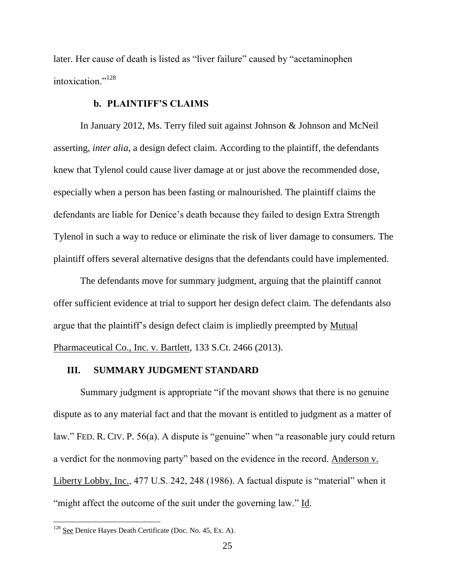later. Her cause of death is listed as "liver failure" caused by "acetaminophen intoxication."<sup>128</sup>

#### **b. PLAINTIFF'S CLAIMS**

In January 2012, Ms. Terry filed suit against Johnson & Johnson and McNeil asserting, *inter alia*, a design defect claim. According to the plaintiff, the defendants knew that Tylenol could cause liver damage at or just above the recommended dose, especially when a person has been fasting or malnourished. The plaintiff claims the defendants are liable for Denice's death because they failed to design Extra Strength Tylenol in such a way to reduce or eliminate the risk of liver damage to consumers. The plaintiff offers several alternative designs that the defendants could have implemented.

The defendants move for summary judgment, arguing that the plaintiff cannot offer sufficient evidence at trial to support her design defect claim. The defendants also argue that the plaintiff's design defect claim is impliedly preempted by Mutual Pharmaceutical Co., Inc. v. Bartlett, 133 S.Ct. 2466 (2013).

#### **III. SUMMARY JUDGMENT STANDARD**

Summary judgment is appropriate "if the movant shows that there is no genuine dispute as to any material fact and that the movant is entitled to judgment as a matter of law." FED. R. CIV. P. 56(a). A dispute is "genuine" when "a reasonable jury could return a verdict for the nonmoving party" based on the evidence in the record. Anderson v. Liberty Lobby, Inc., 477 U.S. 242, 248 (1986). A factual dispute is "material" when it "might affect the outcome of the suit under the governing law." Id.

 $128$  See Denice Hayes Death Certificate (Doc. No. 45, Ex. A).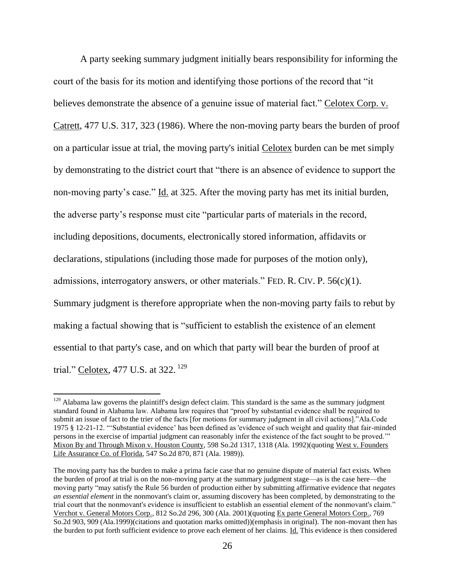A party seeking summary judgment initially bears responsibility for informing the court of the basis for its motion and identifying those portions of the record that "it believes demonstrate the absence of a genuine issue of material fact." Celotex Corp. v. Catrett, 477 U.S. 317, 323 (1986). Where the non-moving party bears the burden of proof on a particular issue at trial, the moving party's initial Celotex burden can be met simply by demonstrating to the district court that "there is an absence of evidence to support the non-moving party's case." Id. at 325. After the moving party has met its initial burden, the adverse party's response must cite "particular parts of materials in the record, including depositions, documents, electronically stored information, affidavits or declarations, stipulations (including those made for purposes of the motion only), admissions, interrogatory answers, or other materials." FED. R. CIV. P.  $56(c)(1)$ . Summary judgment is therefore appropriate when the non-moving party fails to rebut by making a factual showing that is "sufficient to establish the existence of an element essential to that party's case, and on which that party will bear the burden of proof at trial." Celotex, 477 U.S. at 322.<sup>129</sup>

 $129$  Alabama law governs the plaintiff's design defect claim. This standard is the same as the summary judgment standard found in Alabama law. Alabama law requires that "proof by substantial evidence shall be required to submit an issue of fact to the trier of the facts [for motions for summary judgment in all civil actions]."Ala.Code 1975 § 12-21-12. "'Substantial evidence' has been defined as 'evidence of such weight and quality that fair-minded persons in the exercise of impartial judgment can reasonably infer the existence of the fact sought to be proved.'" Mixon By and Through Mixon v. Houston County, 598 So.2d 1317, 1318 (Ala. 1992)(quoting West v. Founders Life Assurance Co. of Florida, 547 So.2d 870, 871 (Ala. 1989)).

The moving party has the burden to make a prima facie case that no genuine dispute of material fact exists. When the burden of proof at trial is on the non-moving party at the summary judgment stage—as is the case here—the moving party "may satisfy the Rule 56 burden of production either by submitting affirmative evidence that *negates an essential element* in the nonmovant's claim or, assuming discovery has been completed, by demonstrating to the trial court that the nonmovant's evidence is insufficient to establish an essential element of the nonmovant's claim." Verchot v. General Motors Corp., 812 So.2d 296, 300 (Ala. 2001)(quoting Ex parte General Motors Corp., 769 So.2d 903, 909 (Ala.1999)(citations and quotation marks omitted))(emphasis in original). The non-movant then has the burden to put forth sufficient evidence to prove each element of her claims. Id. This evidence is then considered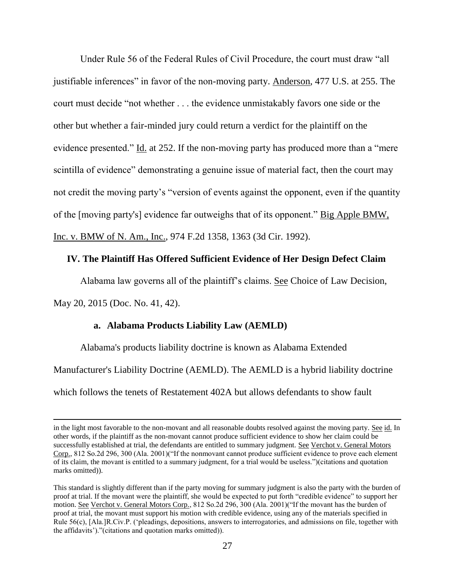Under Rule 56 of the Federal Rules of Civil Procedure, the court must draw "all justifiable inferences" in favor of the non-moving party. Anderson, 477 U.S. at 255. The court must decide "not whether . . . the evidence unmistakably favors one side or the other but whether a fair-minded jury could return a verdict for the plaintiff on the evidence presented." Id. at 252. If the non-moving party has produced more than a "mere scintilla of evidence" demonstrating a genuine issue of material fact, then the court may not credit the moving party's "version of events against the opponent, even if the quantity of the [moving party's] evidence far outweighs that of its opponent." Big Apple BMW, Inc. v. BMW of N. Am., Inc., 974 F.2d 1358, 1363 (3d Cir. 1992).

### **IV. The Plaintiff Has Offered Sufficient Evidence of Her Design Defect Claim**

Alabama law governs all of the plaintiff's claims. See Choice of Law Decision,

May 20, 2015 (Doc. No. 41, 42).

 $\overline{\phantom{a}}$ 

#### **a. Alabama Products Liability Law (AEMLD)**

Alabama's products liability doctrine is known as Alabama Extended Manufacturer's Liability Doctrine (AEMLD). The AEMLD is a hybrid liability doctrine which follows the tenets of Restatement 402A but allows defendants to show fault

in the light most favorable to the non-movant and all reasonable doubts resolved against the moving party. See id. In other words, if the plaintiff as the non-movant cannot produce sufficient evidence to show her claim could be successfully established at trial, the defendants are entitled to summary judgment. See Verchot v. General Motors Corp., 812 So.2d 296, 300 (Ala. 2001)("If the nonmovant cannot produce sufficient evidence to prove each element of its claim, the movant is entitled to a summary judgment, for a trial would be useless.")(citations and quotation marks omitted)).

This standard is slightly different than if the party moving for summary judgment is also the party with the burden of proof at trial. If the movant were the plaintiff, she would be expected to put forth "credible evidence" to support her motion. See Verchot v. General Motors Corp., 812 So.2d 296, 300 (Ala. 2001)("If the movant has the burden of proof at trial, the movant must support his motion with credible evidence, using any of the materials specified in Rule 56(c), [Ala.]R.Civ.P. ('pleadings, depositions, answers to interrogatories, and admissions on file, together with the affidavits')."(citations and quotation marks omitted)).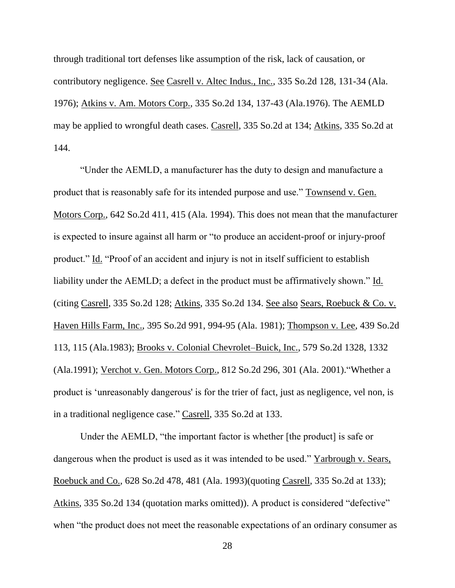through traditional tort defenses like assumption of the risk, lack of causation, or contributory negligence. See Casrell v. Altec Indus., Inc., 335 So.2d 128, 131-34 (Ala. 1976); Atkins v. Am. Motors Corp., 335 So.2d 134, 137-43 (Ala.1976). The AEMLD may be applied to wrongful death cases. Casrell, 335 So.2d at 134; Atkins, 335 So.2d at 144.

"Under the AEMLD, a manufacturer has the duty to design and manufacture a product that is reasonably safe for its intended purpose and use." Townsend v. Gen. Motors Corp., 642 So.2d 411, 415 (Ala. 1994). This does not mean that the manufacturer is expected to insure against all harm or "to produce an accident-proof or injury-proof product." Id. "Proof of an accident and injury is not in itself sufficient to establish liability under the AEMLD; a defect in the product must be affirmatively shown." Id. (citing Casrell, 335 So.2d 128; Atkins, 335 So.2d 134. See also Sears, Roebuck & Co. v. Haven Hills Farm, Inc., 395 So.2d 991, 994-95 (Ala. 1981); Thompson v. Lee, 439 So.2d 113, 115 (Ala.1983); Brooks v. Colonial Chevrolet–Buick, Inc., 579 So.2d 1328, 1332 (Ala.1991); Verchot v. Gen. Motors Corp., 812 So.2d 296, 301 (Ala. 2001)."Whether a product is 'unreasonably dangerous' is for the trier of fact, just as negligence, vel non, is in a traditional negligence case." Casrell, 335 So.2d at 133.

Under the AEMLD, "the important factor is whether [the product] is safe or dangerous when the product is used as it was intended to be used." Yarbrough v. Sears, Roebuck and Co., 628 So.2d 478, 481 (Ala. 1993)(quoting Casrell, 335 So.2d at 133); Atkins, 335 So.2d 134 (quotation marks omitted)). A product is considered "defective" when "the product does not meet the reasonable expectations of an ordinary consumer as

28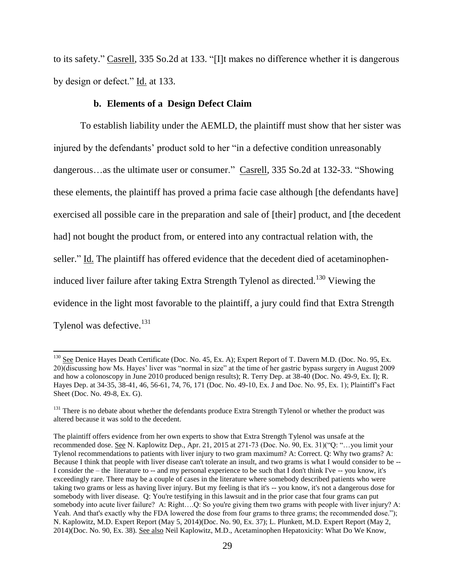to its safety." Casrell, 335 So.2d at 133. "[I]t makes no difference whether it is dangerous by design or defect." Id. at 133.

### **b. Elements of a Design Defect Claim**

l

To establish liability under the AEMLD, the plaintiff must show that her sister was injured by the defendants' product sold to her "in a defective condition unreasonably dangerous…as the ultimate user or consumer." Casrell, 335 So.2d at 132-33. "Showing these elements, the plaintiff has proved a prima facie case although [the defendants have] exercised all possible care in the preparation and sale of [their] product, and [the decedent had] not bought the product from, or entered into any contractual relation with, the seller." Id. The plaintiff has offered evidence that the decedent died of acetaminopheninduced liver failure after taking Extra Strength Tylenol as directed.<sup>130</sup> Viewing the evidence in the light most favorable to the plaintiff, a jury could find that Extra Strength Tylenol was defective.<sup>131</sup>

<sup>&</sup>lt;sup>130</sup> See Denice Hayes Death Certificate (Doc. No. 45, Ex. A); Expert Report of T. Davern M.D. (Doc. No. 95, Ex. 20)(discussing how Ms. Hayes' liver was "normal in size" at the time of her gastric bypass surgery in August 2009 and how a colonoscopy in June 2010 produced benign results); R. Terry Dep. at 38-40 (Doc. No. 49-9, Ex. I); R. Hayes Dep. at 34-35, 38-41, 46, 56-61, 74, 76, 171 (Doc. No. 49-10, Ex. J and Doc. No. 95, Ex. 1); Plaintiff's Fact Sheet (Doc. No. 49-8, Ex. G).

<sup>&</sup>lt;sup>131</sup> There is no debate about whether the defendants produce Extra Strength Tylenol or whether the product was altered because it was sold to the decedent.

The plaintiff offers evidence from her own experts to show that Extra Strength Tylenol was unsafe at the recommended dose. See N. Kaplowitz Dep., Apr. 21, 2015 at 271-73 (Doc. No. 90, Ex. 31)("Q: "…you limit your Tylenol recommendations to patients with liver injury to two gram maximum? A: Correct. Q: Why two grams? A: Because I think that people with liver disease can't tolerate an insult, and two grams is what I would consider to be -- I consider the – the literature to -- and my personal experience to be such that I don't think I've -- you know, it's exceedingly rare. There may be a couple of cases in the literature where somebody described patients who were taking two grams or less as having liver injury. But my feeling is that it's -- you know, it's not a dangerous dose for somebody with liver disease. Q: You're testifying in this lawsuit and in the prior case that four grams can put somebody into acute liver failure? A: Right....Q: So you're giving them two grams with people with liver injury? A: Yeah. And that's exactly why the FDA lowered the dose from four grams to three grams; the recommended dose."); N. Kaplowitz, M.D. Expert Report (May 5, 2014)(Doc. No. 90, Ex. 37); L. Plunkett, M.D. Expert Report (May 2, 2014)(Doc. No. 90, Ex. 38). See also Neil Kaplowitz, M.D., Acetaminophen Hepatoxicity: What Do We Know,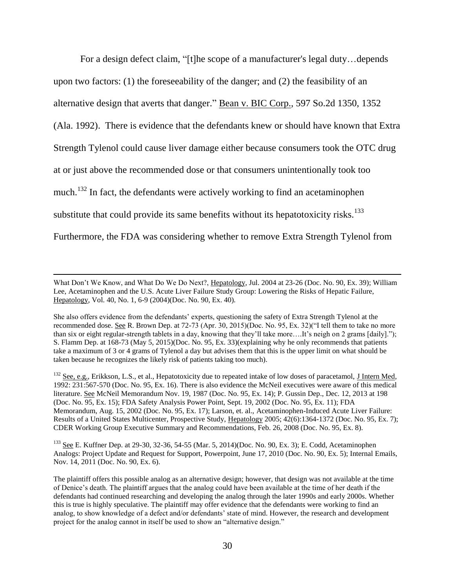For a design defect claim, "[t]he scope of a manufacturer's legal duty…depends upon two factors: (1) the foreseeability of the danger; and (2) the feasibility of an alternative design that averts that danger." Bean v. BIC Corp., 597 So.2d 1350, 1352 (Ala. 1992). There is evidence that the defendants knew or should have known that Extra Strength Tylenol could cause liver damage either because consumers took the OTC drug at or just above the recommended dose or that consumers unintentionally took too much.<sup>132</sup> In fact, the defendants were actively working to find an acetaminophen substitute that could provide its same benefits without its hepatotoxicity risks.<sup>133</sup> Furthermore, the FDA was considering whether to remove Extra Strength Tylenol from

 $\overline{a}$ 

<sup>133</sup> See E. Kuffner Dep. at 29-30, 32-36, 54-55 (Mar. 5, 2014)(Doc. No. 90, Ex. 3); E. Codd, Acetaminophen Analogs: Project Update and Request for Support, Powerpoint, June 17, 2010 (Doc. No. 90, Ex. 5); Internal Emails, Nov. 14, 2011 (Doc. No. 90, Ex. 6).

What Don't We Know, and What Do We Do Next?, Hepatology, Jul. 2004 at 23-26 (Doc. No. 90, Ex. 39); William Lee, Acetaminophen and the U.S. Acute Liver Failure Study Group: Lowering the Risks of Hepatic Failure, Hepatology, Vol. 40, No. 1, 6-9 (2004)(Doc. No. 90, Ex. 40).

She also offers evidence from the defendants' experts, questioning the safety of Extra Strength Tylenol at the recommended dose. See R. Brown Dep. at 72-73 (Apr. 30, 2015)(Doc. No. 95, Ex. 32)("I tell them to take no more than six or eight regular-strength tablets in a day, knowing that they'll take more….It's neigh on 2 grams [daily]."); S. Flamm Dep. at 168-73 (May 5, 2015)(Doc. No. 95, Ex. 33)(explaining why he only recommends that patients take a maximum of 3 or 4 grams of Tylenol a day but advises them that this is the upper limit on what should be taken because he recognizes the likely risk of patients taking too much).

 $132$  See, e.g., Erikkson, L.S., et al., Hepatotoxicity due to repeated intake of low doses of paracetamol, J Intern Med, 1992: 231:567-570 (Doc. No. 95, Ex. 16). There is also evidence the McNeil executives were aware of this medical literature. See McNeil Memorandum Nov. 19, 1987 (Doc. No. 95, Ex. 14); P. Gussin Dep., Dec. 12, 2013 at 198 (Doc. No. 95, Ex. 15); FDA Safety Analysis Power Point, Sept. 19, 2002 (Doc. No. 95, Ex. 11); FDA Memorandum, Aug. 15, 2002 (Doc. No. 95, Ex. 17); Larson, et. al., Acetaminophen-Induced Acute Liver Failure: Results of a United States Multicenter, Prospective Study, Hepatology 2005; 42(6):1364-1372 (Doc. No. 95, Ex. 7); CDER Working Group Executive Summary and Recommendations, Feb. 26, 2008 (Doc. No. 95, Ex. 8).

The plaintiff offers this possible analog as an alternative design; however, that design was not available at the time of Denice's death. The plaintiff argues that the analog could have been available at the time of her death if the defendants had continued researching and developing the analog through the later 1990s and early 2000s. Whether this is true is highly speculative. The plaintiff may offer evidence that the defendants were working to find an analog, to show knowledge of a defect and/or defendants' state of mind. However, the research and development project for the analog cannot in itself be used to show an "alternative design."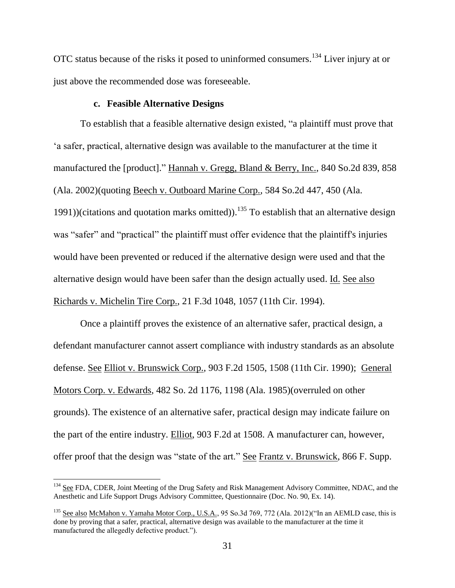OTC status because of the risks it posed to uninformed consumers.<sup>134</sup> Liver injury at or just above the recommended dose was foreseeable.

### **c. Feasible Alternative Designs**

To establish that a feasible alternative design existed, "a plaintiff must prove that 'a safer, practical, alternative design was available to the manufacturer at the time it manufactured the [product]." Hannah v. Gregg, Bland & Berry, Inc., 840 So.2d 839, 858 (Ala. 2002)(quoting Beech v. Outboard Marine Corp., 584 So.2d 447, 450 (Ala. 1991))(citations and quotation marks omitted)).<sup>135</sup> To establish that an alternative design was "safer" and "practical" the plaintiff must offer evidence that the plaintiff's injuries would have been prevented or reduced if the alternative design were used and that the alternative design would have been safer than the design actually used. Id. See also Richards v. Michelin Tire Corp., 21 F.3d 1048, 1057 (11th Cir. 1994).

Once a plaintiff proves the existence of an alternative safer, practical design, a defendant manufacturer cannot assert compliance with industry standards as an absolute defense. See Elliot v. Brunswick Corp., 903 F.2d 1505, 1508 (11th Cir. 1990); General Motors Corp. v. Edwards, 482 So. 2d 1176, 1198 (Ala. 1985)(overruled on other grounds). The existence of an alternative safer, practical design may indicate failure on the part of the entire industry. Elliot, 903 F.2d at 1508. A manufacturer can, however, offer proof that the design was "state of the art." See Frantz v. Brunswick, 866 F. Supp.

l

<sup>&</sup>lt;sup>134</sup> See FDA, CDER, Joint Meeting of the Drug Safety and Risk Management Advisory Committee, NDAC, and the Anesthetic and Life Support Drugs Advisory Committee, Questionnaire (Doc. No. 90, Ex. 14).

<sup>&</sup>lt;sup>135</sup> See also McMahon v. Yamaha Motor Corp., U.S.A., 95 So.3d 769, 772 (Ala. 2012)("In an AEMLD case, this is done by proving that a safer, practical, alternative design was available to the manufacturer at the time it manufactured the allegedly defective product.").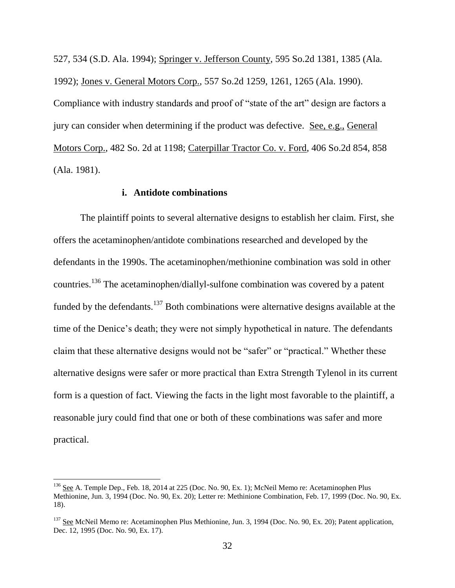527, 534 (S.D. Ala. 1994); Springer v. Jefferson County, 595 So.2d 1381, 1385 (Ala. 1992); Jones v. General Motors Corp., 557 So.2d 1259, 1261, 1265 (Ala. 1990). Compliance with industry standards and proof of "state of the art" design are factors a jury can consider when determining if the product was defective. See, e.g., General Motors Corp., 482 So. 2d at 1198; Caterpillar Tractor Co. v. Ford, 406 So.2d 854, 858 (Ala. 1981).

# **i. Antidote combinations**

The plaintiff points to several alternative designs to establish her claim. First, she offers the acetaminophen/antidote combinations researched and developed by the defendants in the 1990s. The acetaminophen/methionine combination was sold in other countries.<sup>136</sup> The acetaminophen/diallyl-sulfone combination was covered by a patent funded by the defendants.<sup>137</sup> Both combinations were alternative designs available at the time of the Denice's death; they were not simply hypothetical in nature. The defendants claim that these alternative designs would not be "safer" or "practical." Whether these alternative designs were safer or more practical than Extra Strength Tylenol in its current form is a question of fact. Viewing the facts in the light most favorable to the plaintiff, a reasonable jury could find that one or both of these combinations was safer and more practical.

l

<sup>&</sup>lt;sup>136</sup> See A. Temple Dep., Feb. 18, 2014 at 225 (Doc. No. 90, Ex. 1); McNeil Memo re: Acetaminophen Plus Methionine, Jun. 3, 1994 (Doc. No. 90, Ex. 20); Letter re: Methinione Combination, Feb. 17, 1999 (Doc. No. 90, Ex. 18).

<sup>&</sup>lt;sup>137</sup> See McNeil Memo re: Acetaminophen Plus Methionine, Jun. 3, 1994 (Doc. No. 90, Ex. 20); Patent application, Dec. 12, 1995 (Doc. No. 90, Ex. 17).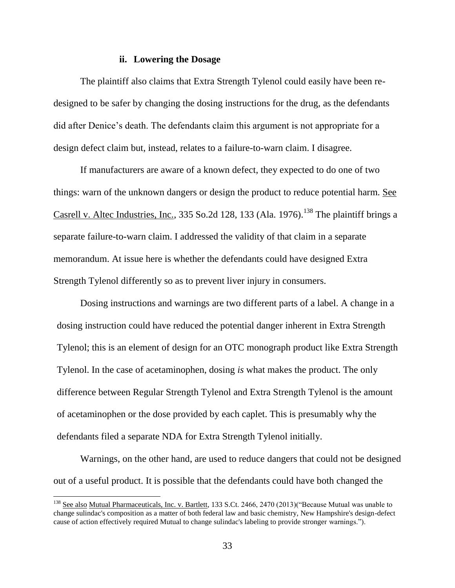### **ii. Lowering the Dosage**

The plaintiff also claims that Extra Strength Tylenol could easily have been redesigned to be safer by changing the dosing instructions for the drug, as the defendants did after Denice's death. The defendants claim this argument is not appropriate for a design defect claim but, instead, relates to a failure-to-warn claim. I disagree.

If manufacturers are aware of a known defect, they expected to do one of two things: warn of the unknown dangers or design the product to reduce potential harm. See Casrell v. Altec Industries, Inc., 335 So.2d 128, 133 (Ala. 1976).<sup>138</sup> The plaintiff brings a separate failure-to-warn claim. I addressed the validity of that claim in a separate memorandum. At issue here is whether the defendants could have designed Extra Strength Tylenol differently so as to prevent liver injury in consumers.

Dosing instructions and warnings are two different parts of a label. A change in a dosing instruction could have reduced the potential danger inherent in Extra Strength Tylenol; this is an element of design for an OTC monograph product like Extra Strength Tylenol. In the case of acetaminophen, dosing *is* what makes the product. The only difference between Regular Strength Tylenol and Extra Strength Tylenol is the amount of acetaminophen or the dose provided by each caplet. This is presumably why the defendants filed a separate NDA for Extra Strength Tylenol initially.

Warnings, on the other hand, are used to reduce dangers that could not be designed out of a useful product. It is possible that the defendants could have both changed the

<sup>&</sup>lt;sup>138</sup> See also Mutual Pharmaceuticals, Inc. v. Bartlett, 133 S.Ct. 2466, 2470 (2013) ("Because Mutual was unable to change sulindac's composition as a matter of both federal law and basic chemistry, New Hampshire's design-defect cause of action effectively required Mutual to change sulindac's labeling to provide stronger warnings.").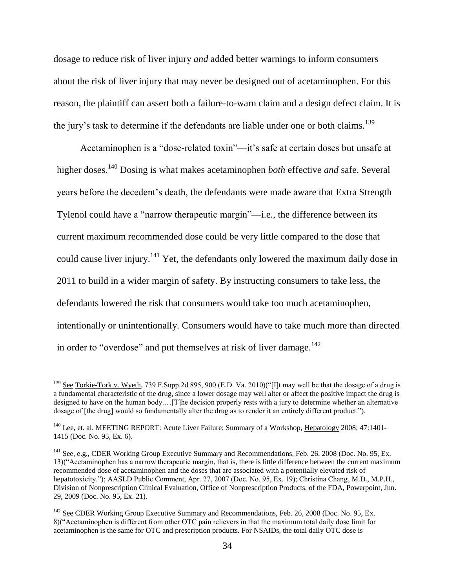dosage to reduce risk of liver injury *and* added better warnings to inform consumers about the risk of liver injury that may never be designed out of acetaminophen. For this reason, the plaintiff can assert both a failure-to-warn claim and a design defect claim. It is the jury's task to determine if the defendants are liable under one or both claims.<sup>139</sup>

Acetaminophen is a "dose-related toxin"—it's safe at certain doses but unsafe at higher doses.<sup>140</sup> Dosing is what makes acetaminophen *both* effective *and* safe. Several years before the decedent's death, the defendants were made aware that Extra Strength Tylenol could have a "narrow therapeutic margin"—i.e., the difference between its current maximum recommended dose could be very little compared to the dose that could cause liver injury.<sup>141</sup> Yet, the defendants only lowered the maximum daily dose in 2011 to build in a wider margin of safety. By instructing consumers to take less, the defendants lowered the risk that consumers would take too much acetaminophen, intentionally or unintentionally. Consumers would have to take much more than directed in order to "overdose" and put themselves at risk of liver damage. $^{142}$ 

<sup>&</sup>lt;sup>139</sup> See Torkie-Tork v. Wyeth, 739 F.Supp.2d 895, 900 (E.D. Va. 2010)("[I]t may well be that the dosage of a drug is a fundamental characteristic of the drug, since a lower dosage may well alter or affect the positive impact the drug is designed to have on the human body.…[T]he decision properly rests with a jury to determine whether an alternative dosage of [the drug] would so fundamentally alter the drug as to render it an entirely different product.").

<sup>&</sup>lt;sup>140</sup> Lee, et. al. MEETING REPORT: Acute Liver Failure: Summary of a Workshop, Hepatology 2008; 47:1401-1415 (Doc. No. 95, Ex. 6).

<sup>&</sup>lt;sup>141</sup> See, e.g., CDER Working Group Executive Summary and Recommendations, Feb. 26, 2008 (Doc. No. 95, Ex. 13)("Acetaminophen has a narrow therapeutic margin, that is, there is little difference between the current maximum recommended dose of acetaminophen and the doses that are associated with a potentially elevated risk of hepatotoxicity."); AASLD Public Comment, Apr. 27, 2007 (Doc. No. 95, Ex. 19); Christina Chang, M.D., M.P.H., Division of Nonprescription Clinical Evaluation, Office of Nonprescription Products, of the FDA, Powerpoint, Jun. 29, 2009 (Doc. No. 95, Ex. 21).

<sup>&</sup>lt;sup>142</sup> See CDER Working Group Executive Summary and Recommendations, Feb. 26, 2008 (Doc. No. 95, Ex. 8)("Acetaminophen is different from other OTC pain relievers in that the maximum total daily dose limit for acetaminophen is the same for OTC and prescription products. For NSAIDs, the total daily OTC dose is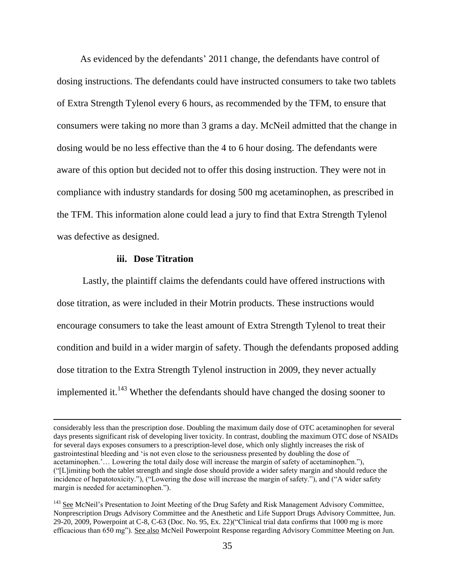As evidenced by the defendants' 2011 change, the defendants have control of dosing instructions. The defendants could have instructed consumers to take two tablets of Extra Strength Tylenol every 6 hours, as recommended by the TFM, to ensure that consumers were taking no more than 3 grams a day. McNeil admitted that the change in dosing would be no less effective than the 4 to 6 hour dosing. The defendants were aware of this option but decided not to offer this dosing instruction. They were not in compliance with industry standards for dosing 500 mg acetaminophen, as prescribed in the TFM. This information alone could lead a jury to find that Extra Strength Tylenol was defective as designed.

#### **iii. Dose Titration**

 $\overline{\phantom{a}}$ 

Lastly, the plaintiff claims the defendants could have offered instructions with dose titration, as were included in their Motrin products. These instructions would encourage consumers to take the least amount of Extra Strength Tylenol to treat their condition and build in a wider margin of safety. Though the defendants proposed adding dose titration to the Extra Strength Tylenol instruction in 2009, they never actually implemented it. $^{143}$  Whether the defendants should have changed the dosing sooner to

considerably less than the prescription dose. Doubling the maximum daily dose of OTC acetaminophen for several days presents significant risk of developing liver toxicity. In contrast, doubling the maximum OTC dose of NSAIDs for several days exposes consumers to a prescription-level dose, which only slightly increases the risk of gastrointestinal bleeding and 'is not even close to the seriousness presented by doubling the dose of acetaminophen.'… Lowering the total daily dose will increase the margin of safety of acetaminophen."), ("[L]imiting both the tablet strength and single dose should provide a wider safety margin and should reduce the incidence of hepatotoxicity."), ("Lowering the dose will increase the margin of safety."), and ("A wider safety margin is needed for acetaminophen.").

<sup>&</sup>lt;sup>143</sup> See McNeil's Presentation to Joint Meeting of the Drug Safety and Risk Management Advisory Committee, Nonprescription Drugs Advisory Committee and the Anesthetic and Life Support Drugs Advisory Committee, Jun. 29-20, 2009, Powerpoint at C-8, C-63 (Doc. No. 95, Ex. 22)("Clinical trial data confirms that 1000 mg is more efficacious than 650 mg"). See also McNeil Powerpoint Response regarding Advisory Committee Meeting on Jun.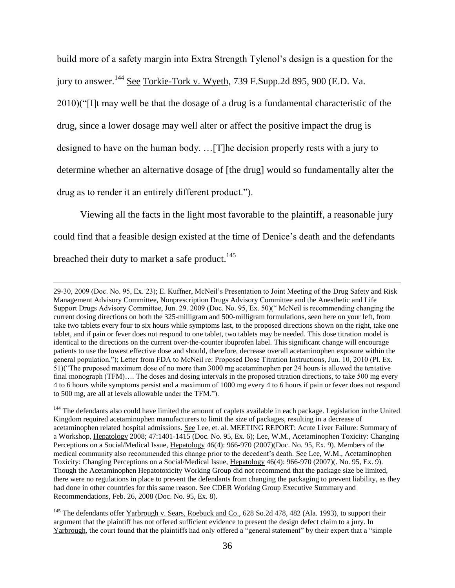build more of a safety margin into Extra Strength Tylenol's design is a question for the jury to answer.<sup>144</sup> See Torkie-Tork v. Wyeth, 739 F.Supp.2d 895, 900 (E.D. Va. 2010)("[I]t may well be that the dosage of a drug is a fundamental characteristic of the drug, since a lower dosage may well alter or affect the positive impact the drug is designed to have on the human body. …[T]he decision properly rests with a jury to determine whether an alternative dosage of [the drug] would so fundamentally alter the drug as to render it an entirely different product.").

Viewing all the facts in the light most favorable to the plaintiff, a reasonable jury could find that a feasible design existed at the time of Denice's death and the defendants breached their duty to market a safe product.<sup>145</sup>

<sup>29-30, 2009 (</sup>Doc. No. 95, Ex. 23); E. Kuffner, McNeil's Presentation to Joint Meeting of the Drug Safety and Risk Management Advisory Committee, Nonprescription Drugs Advisory Committee and the Anesthetic and Life Support Drugs Advisory Committee, Jun. 29. 2009 (Doc. No. 95, Ex. 50)(" McNeil is recommending changing the current dosing directions on both the 325-milligram and 500-milligram formulations, seen here on your left, from take two tablets every four to six hours while symptoms last, to the proposed directions shown on the right, take one tablet, and if pain or fever does not respond to one tablet, two tablets may be needed. This dose titration model is identical to the directions on the current over-the-counter ibuprofen label. This significant change will encourage patients to use the lowest effective dose and should, therefore, decrease overall acetaminophen exposure within the general population."); Letter from FDA to McNeil re: Proposed Dose Titration Instructions, Jun. 10, 2010 (Pl. Ex. 51)("The proposed maximum dose of no more than 3000 mg acetaminophen per 24 hours is allowed the tentative final monograph (TFM).... The doses and dosing intervals in the proposed titration directions, to take 500 mg every 4 to 6 hours while symptoms persist and a maximum of 1000 mg every 4 to 6 hours if pain or fever does not respond to 500 mg, are all at levels allowable under the TFM.").

<sup>&</sup>lt;sup>144</sup> The defendants also could have limited the amount of caplets available in each package. Legislation in the United Kingdom required acetaminophen manufacturers to limit the size of packages, resulting in a decrease of acetaminophen related hospital admissions. See Lee, et. al. MEETING REPORT: Acute Liver Failure: Summary of a Workshop, Hepatology 2008; 47:1401-1415 (Doc. No. 95, Ex. 6); Lee, W.M., Acetaminophen Toxicity: Changing Perceptions on a Social/Medical Issue, Hepatology 46(4): 966-970 (2007)(Doc. No. 95, Ex. 9). Members of the medical community also recommended this change prior to the decedent's death. See Lee, W.M., Acetaminophen Toxicity: Changing Perceptions on a Social/Medical Issue, Hepatology 46(4): 966-970 (2007)(. No. 95, Ex. 9). Though the Acetaminophen Hepatotoxicity Working Group did not recommend that the package size be limited, there were no regulations in place to prevent the defendants from changing the packaging to prevent liability, as they had done in other countries for this same reason. See CDER Working Group Executive Summary and Recommendations, Feb. 26, 2008 (Doc. No. 95, Ex. 8).

<sup>&</sup>lt;sup>145</sup> The defendants offer Yarbrough v. Sears, Roebuck and Co., 628 So.2d 478, 482 (Ala. 1993), to support their argument that the plaintiff has not offered sufficient evidence to present the design defect claim to a jury. In Yarbrough, the court found that the plaintiffs had only offered a "general statement" by their expert that a "simple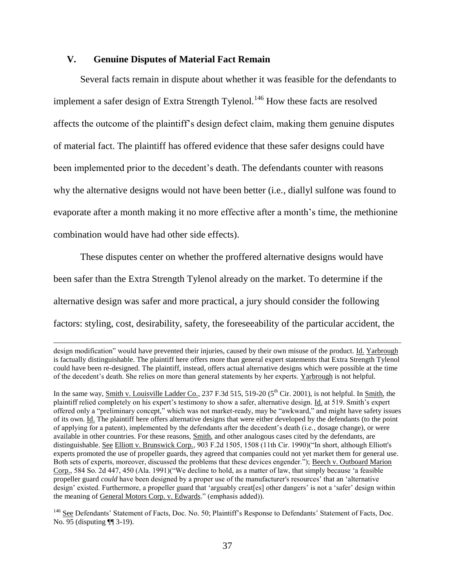# **V. Genuine Disputes of Material Fact Remain**

 $\overline{\phantom{a}}$ 

Several facts remain in dispute about whether it was feasible for the defendants to implement a safer design of Extra Strength Tylenol.<sup>146</sup> How these facts are resolved affects the outcome of the plaintiff's design defect claim, making them genuine disputes of material fact. The plaintiff has offered evidence that these safer designs could have been implemented prior to the decedent's death. The defendants counter with reasons why the alternative designs would not have been better (i.e., diallyl sulfone was found to evaporate after a month making it no more effective after a month's time, the methionine combination would have had other side effects).

These disputes center on whether the proffered alternative designs would have been safer than the Extra Strength Tylenol already on the market. To determine if the alternative design was safer and more practical, a jury should consider the following factors: styling, cost, desirability, safety, the foreseeability of the particular accident, the

design modification" would have prevented their injuries, caused by their own misuse of the product. Id. Yarbrough is factually distinguishable. The plaintiff here offers more than general expert statements that Extra Strength Tylenol could have been re-designed. The plaintiff, instead, offers actual alternative designs which were possible at the time of the decedent's death. She relies on more than general statements by her experts. Yarbrough is not helpful.

In the same way, Smith v. Louisville Ladder Co., 237 F.3d 515, 519-20  $(5<sup>th</sup>$  Cir. 2001), is not helpful. In Smith, the plaintiff relied completely on his expert's testimony to show a safer, alternative design. Id. at 519. Smith's expert offered only a "preliminary concept," which was not market-ready, may be "awkward," and might have safety issues of its own. Id. The plaintiff here offers alternative designs that were either developed by the defendants (to the point of applying for a patent), implemented by the defendants after the decedent's death (i.e., dosage change), or were available in other countries. For these reasons, Smith, and other analogous cases cited by the defendants, are distinguishable. See Elliott v. Brunswick Corp., 903 F.2d 1505, 1508 (11th Cir. 1990)("In short, although Elliott's experts promoted the use of propeller guards, they agreed that companies could not yet market them for general use. Both sets of experts, moreover, discussed the problems that these devices engender."); Beech v. Outboard Marion Corp., 584 So. 2d 447, 450 (Ala. 1991)("We decline to hold, as a matter of law, that simply because 'a feasible propeller guard *could* have been designed by a proper use of the manufacturer's resources' that an 'alternative design' existed. Furthermore, a propeller guard that 'arguably creat[es] other dangers' is not a 'safer' design within the meaning of General Motors Corp. v. Edwards." (emphasis added)).

<sup>146</sup> See Defendants' Statement of Facts, Doc. No. 50; Plaintiff's Response to Defendants' Statement of Facts, Doc. No. 95 (disputing ¶¶ 3-19).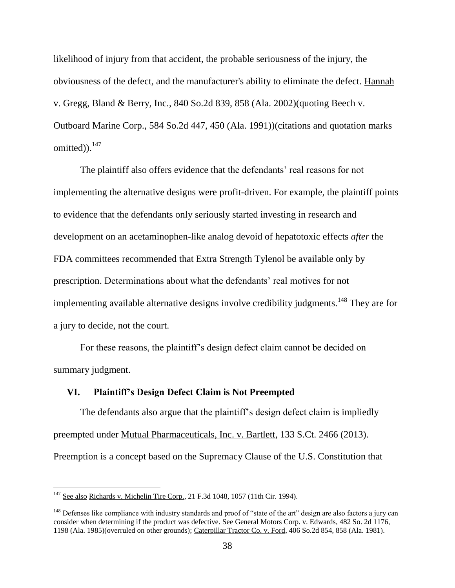likelihood of injury from that accident, the probable seriousness of the injury, the obviousness of the defect, and the manufacturer's ability to eliminate the defect. Hannah v. Gregg, Bland & Berry, Inc., 840 So.2d 839, 858 (Ala. 2002)(quoting Beech v. Outboard Marine Corp., 584 So.2d 447, 450 (Ala. 1991))(citations and quotation marks omitted)).<sup>147</sup>

The plaintiff also offers evidence that the defendants' real reasons for not implementing the alternative designs were profit-driven. For example, the plaintiff points to evidence that the defendants only seriously started investing in research and development on an acetaminophen-like analog devoid of hepatotoxic effects *after* the FDA committees recommended that Extra Strength Tylenol be available only by prescription. Determinations about what the defendants' real motives for not implementing available alternative designs involve credibility judgments.<sup>148</sup> They are for a jury to decide, not the court.

For these reasons, the plaintiff's design defect claim cannot be decided on summary judgment.

# **VI. Plaintiff's Design Defect Claim is Not Preempted**

The defendants also argue that the plaintiff's design defect claim is impliedly preempted under Mutual Pharmaceuticals, Inc. v. Bartlett, 133 S.Ct. 2466 (2013). Preemption is a concept based on the Supremacy Clause of the U.S. Constitution that

 $147$  See also Richards v. Michelin Tire Corp., 21 F.3d 1048, 1057 (11th Cir. 1994).

<sup>&</sup>lt;sup>148</sup> Defenses like compliance with industry standards and proof of "state of the art" design are also factors a jury can consider when determining if the product was defective. See General Motors Corp. v. Edwards, 482 So. 2d 1176, 1198 (Ala. 1985)(overruled on other grounds); Caterpillar Tractor Co. v. Ford, 406 So.2d 854, 858 (Ala. 1981).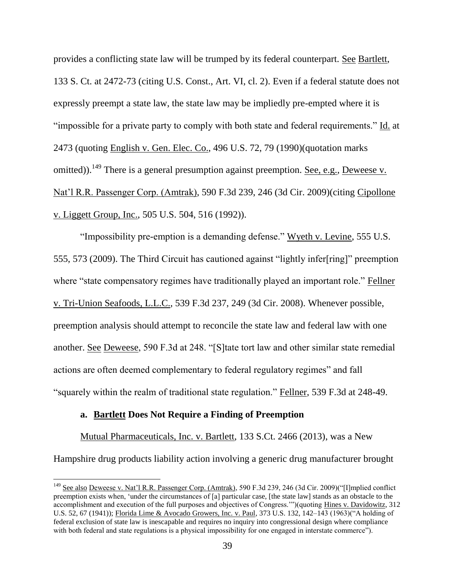provides a conflicting state law will be trumped by its federal counterpart. See Bartlett, 133 S. Ct. at 2472-73 (citing U.S. Const., Art. VI, cl. 2). Even if a federal statute does not expressly preempt a state law, the state law may be impliedly pre-empted where it is "impossible for a private party to comply with both state and federal requirements." Id. at 2473 (quoting English v. Gen. Elec. Co., 496 U.S. 72, 79 (1990)(quotation marks omitted)).<sup>149</sup> There is a general presumption against preemption. See, e.g., Deweese v. Nat'l R.R. Passenger Corp. (Amtrak), 590 F.3d 239, 246 (3d Cir. 2009)(citing Cipollone v. Liggett Group, Inc., 505 U.S. 504, 516 (1992)).

"Impossibility pre-emption is a demanding defense." Wyeth v. Levine, 555 U.S. 555, 573 (2009). The Third Circuit has cautioned against "lightly infer[ring]" preemption where "state compensatory regimes have traditionally played an important role." Fellner v. Tri-Union Seafoods, L.L.C., 539 F.3d 237, 249 (3d Cir. 2008). Whenever possible, preemption analysis should attempt to reconcile the state law and federal law with one another. See Deweese, 590 F.3d at 248. "[S]tate tort law and other similar state remedial actions are often deemed complementary to federal regulatory regimes" and fall "squarely within the realm of traditional state regulation." Fellner, 539 F.3d at 248-49.

### **a. Bartlett Does Not Require a Finding of Preemption**

l

Mutual Pharmaceuticals, Inc. v. Bartlett, 133 S.Ct. 2466 (2013), was a New Hampshire drug products liability action involving a generic drug manufacturer brought

<sup>&</sup>lt;sup>149</sup> See also Deweese v. Nat'l R.R. Passenger Corp. (Amtrak), 590 F.3d 239, 246 (3d Cir. 2009)("[I]mplied conflict preemption exists when, 'under the circumstances of [a] particular case, [the state law] stands as an obstacle to the accomplishment and execution of the full purposes and objectives of Congress.'")(quoting Hines v. Davidowitz, 312 U.S. 52, 67 (1941)); Florida Lime & Avocado Growers, Inc. v. Paul, 373 U.S. 132, 142–143 (1963)("A holding of federal exclusion of state law is inescapable and requires no inquiry into congressional design where compliance with both federal and state regulations is a physical impossibility for one engaged in interstate commerce").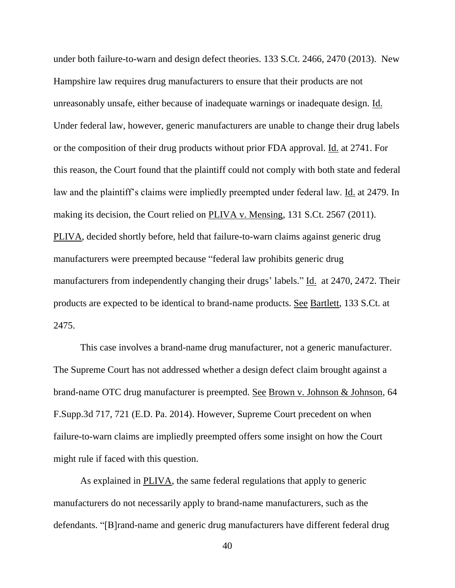under both failure-to-warn and design defect theories. 133 S.Ct. 2466, 2470 (2013). New Hampshire law requires drug manufacturers to ensure that their products are not unreasonably unsafe, either because of inadequate warnings or inadequate design. Id. Under federal law, however, generic manufacturers are unable to change their drug labels or the composition of their drug products without prior FDA approval. Id. at 2741. For this reason, the Court found that the plaintiff could not comply with both state and federal law and the plaintiff's claims were impliedly preempted under federal law. Id. at 2479. In making its decision, the Court relied on PLIVA v. Mensing, 131 S.Ct. 2567 (2011). PLIVA, decided shortly before, held that failure-to-warn claims against generic drug manufacturers were preempted because "federal law prohibits generic drug manufacturers from independently changing their drugs' labels." Id. at 2470, 2472. Their products are expected to be identical to brand-name products. See Bartlett, 133 S.Ct. at 2475.

This case involves a brand-name drug manufacturer, not a generic manufacturer. The Supreme Court has not addressed whether a design defect claim brought against a brand-name OTC drug manufacturer is preempted. See Brown v. Johnson & Johnson, 64 F.Supp.3d 717, 721 (E.D. Pa. 2014). However, Supreme Court precedent on when failure-to-warn claims are impliedly preempted offers some insight on how the Court might rule if faced with this question.

As explained in PLIVA, the same federal regulations that apply to generic manufacturers do not necessarily apply to brand-name manufacturers, such as the defendants. "[B]rand-name and generic drug manufacturers have different federal drug

40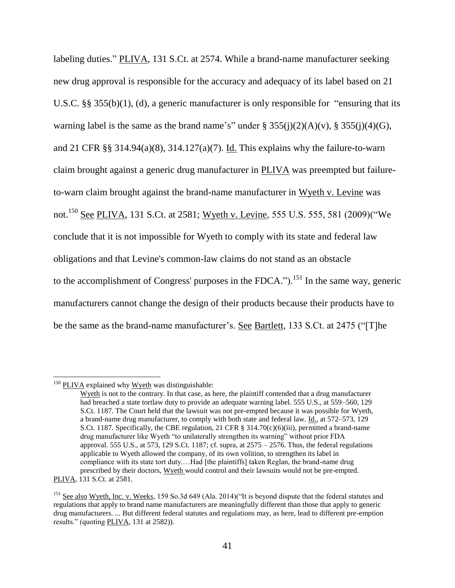labeling duties." PLIVA, 131 S.Ct. at 2574. While a brand-name manufacturer seeking new drug approval is responsible for the accuracy and adequacy of its label based on 21 U.S.C. §§ 355(b)(1), (d), a generic manufacturer is only responsible for "ensuring that its warning label is the same as the brand name's" under  $\S 355(j)(2)(A)(v)$ ,  $\S 355(j)(4)(G)$ , and 21 CFR §§ 314.94(a)(8), 314.127(a)(7). Id. This explains why the failure-to-warn claim brought against a generic drug manufacturer in PLIVA was preempted but failureto-warn claim brought against the brand-name manufacturer in Wyeth v. Levine was not.<sup>150</sup> See PLIVA, 131 S.Ct. at 2581; Wyeth v. Levine, 555 U.S. 555, 581 (2009)("We conclude that it is not impossible for Wyeth to comply with its state and federal law obligations and that Levine's common-law claims do not stand as an obstacle to the accomplishment of Congress' purposes in the FDCA.").<sup>151</sup> In the same way, generic manufacturers cannot change the design of their products because their products have to be the same as the brand-name manufacturer's. See Bartlett, 133 S.Ct. at 2475 ("[T]he

 $150$  PLIVA explained why Wyeth was distinguishable:

Wyeth is not to the contrary. In that case, as here, the plaintiff contended that a drug manufacturer had breached a state tortlaw duty to provide an adequate warning label. 555 U.S., at 559–560, 129 S.Ct. 1187. The Court held that the lawsuit was not pre-empted because it was possible for Wyeth, a brand-name drug manufacturer, to comply with both state and federal law. Id., at 572–573, 129 S.Ct. 1187. Specifically, the CBE regulation, 21 CFR  $\S$  314.70(c)(6)(iii), permitted a brand-name drug manufacturer like Wyeth "to unilaterally strengthen its warning" without prior FDA approval. 555 U.S., at 573, 129 S.Ct. 1187; cf. supra, at  $2575 - 2576$ . Thus, the federal regulations applicable to Wyeth allowed the company, of its own volition, to strengthen its label in compliance with its state tort duty....Had [the plaintiffs] taken Reglan, the brand-name drug prescribed by their doctors, Wyeth would control and their lawsuits would not be pre-empted. PLIVA, 131 S.Ct. at 2581.

<sup>&</sup>lt;sup>151</sup> See also Wyeth, Inc. v. Weeks, 159 So.3d 649 (Ala. 2014)("It is beyond dispute that the federal statutes and regulations that apply to brand name manufacturers are meaningfully different than those that apply to generic drug manufacturers. ... But different federal statutes and regulations may, as here, lead to different pre-emption results." (quoting PLIVA, 131 at 2582)).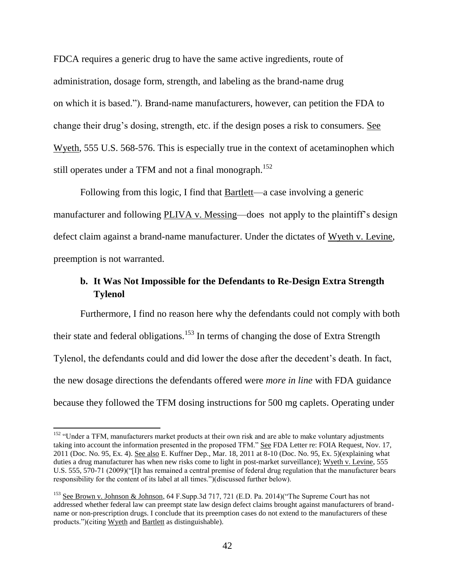FDCA requires a generic drug to have the same active ingredients, route of administration, dosage form, strength, and labeling as the brand-name drug on which it is based."). Brand-name manufacturers, however, can petition the FDA to change their drug's dosing, strength, etc. if the design poses a risk to consumers. See Wyeth, 555 U.S. 568-576. This is especially true in the context of acetaminophen which still operates under a TFM and not a final monograph.<sup>152</sup>

Following from this logic, I find that Bartlett—a case involving a generic manufacturer and following PLIVA v. Messing—does not apply to the plaintiff's design defect claim against a brand-name manufacturer. Under the dictates of Wyeth v. Levine, preemption is not warranted.

# **b. It Was Not Impossible for the Defendants to Re-Design Extra Strength Tylenol**

Furthermore, I find no reason here why the defendants could not comply with both their state and federal obligations.<sup>153</sup> In terms of changing the dose of Extra Strength Tylenol, the defendants could and did lower the dose after the decedent's death. In fact, the new dosage directions the defendants offered were *more in line* with FDA guidance because they followed the TFM dosing instructions for 500 mg caplets. Operating under

<sup>&</sup>lt;sup>152</sup> "Under a TFM, manufacturers market products at their own risk and are able to make voluntary adjustments taking into account the information presented in the proposed TFM." See FDA Letter re: FOIA Request, Nov. 17, 2011 (Doc. No. 95, Ex. 4). See also E. Kuffner Dep., Mar. 18, 2011 at 8-10 (Doc. No. 95, Ex. 5)(explaining what duties a drug manufacturer has when new risks come to light in post-market surveillance); Wyeth v. Levine, 555 U.S. 555, 570-71 (2009)("[I]t has remained a central premise of federal drug regulation that the manufacturer bears responsibility for the content of its label at all times.")(discussed further below).

<sup>153</sup> See Brown v. Johnson & Johnson, 64 F.Supp.3d 717, 721 (E.D. Pa. 2014)("The Supreme Court has not addressed whether federal law can preempt state law design defect claims brought against manufacturers of brandname or non-prescription drugs. I conclude that its preemption cases do not extend to the manufacturers of these products.")(citing Wyeth and Bartlett as distinguishable).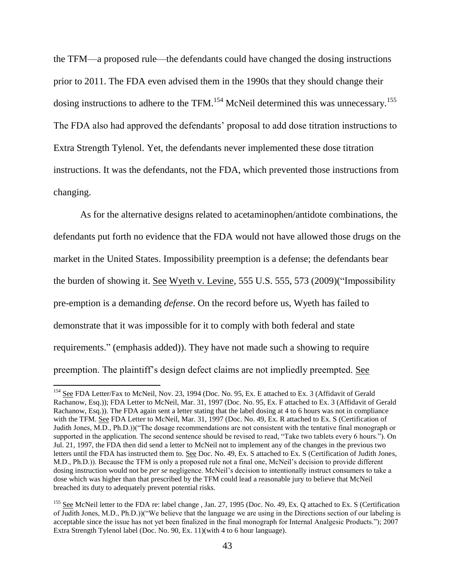the TFM—a proposed rule—the defendants could have changed the dosing instructions prior to 2011. The FDA even advised them in the 1990s that they should change their dosing instructions to adhere to the TFM.<sup>154</sup> McNeil determined this was unnecessary.<sup>155</sup> The FDA also had approved the defendants' proposal to add dose titration instructions to Extra Strength Tylenol. Yet, the defendants never implemented these dose titration instructions. It was the defendants, not the FDA, which prevented those instructions from changing.

As for the alternative designs related to acetaminophen/antidote combinations, the defendants put forth no evidence that the FDA would not have allowed those drugs on the market in the United States. Impossibility preemption is a defense; the defendants bear the burden of showing it. See Wyeth v. Levine, 555 U.S. 555, 573 (2009)("Impossibility pre-emption is a demanding *defense*. On the record before us, Wyeth has failed to demonstrate that it was impossible for it to comply with both federal and state requirements." (emphasis added)). They have not made such a showing to require preemption. The plaintiff's design defect claims are not impliedly preempted. See

<sup>&</sup>lt;sup>154</sup> See FDA Letter/Fax to McNeil, Nov. 23, 1994 (Doc. No. 95, Ex. E attached to Ex. 3 (Affidavit of Gerald Rachanow, Esq.)); FDA Letter to McNeil, Mar. 31, 1997 (Doc. No. 95, Ex. F attached to Ex. 3 (Affidavit of Gerald Rachanow, Esq.)). The FDA again sent a letter stating that the label dosing at 4 to 6 hours was not in compliance with the TFM. See FDA Letter to McNeil, Mar. 31, 1997 (Doc. No. 49, Ex. R attached to Ex. S (Certification of Judith Jones, M.D., Ph.D.))("The dosage recommendations are not consistent with the tentative final monograph or supported in the application. The second sentence should be revised to read, "Take two tablets every 6 hours."). On Jul. 21, 1997, the FDA then did send a letter to McNeil not to implement any of the changes in the previous two letters until the FDA has instructed them to. See Doc. No. 49, Ex. S attached to Ex. S (Certification of Judith Jones, M.D., Ph.D.)). Because the TFM is only a proposed rule not a final one, McNeil's decision to provide different dosing instruction would not be *per se* negligence. McNeil's decision to intentionally instruct consumers to take a dose which was higher than that prescribed by the TFM could lead a reasonable jury to believe that McNeil breached its duty to adequately prevent potential risks.

<sup>&</sup>lt;sup>155</sup> See McNeil letter to the FDA re: label change, Jan. 27, 1995 (Doc. No. 49, Ex. Q attached to Ex. S (Certification of Judith Jones, M.D., Ph.D.))("We believe that the language we are using in the Directions section of our labeling is acceptable since the issue has not yet been finalized in the final monograph for Internal Analgesic Products."); 2007 Extra Strength Tylenol label (Doc. No. 90, Ex. 11)(with 4 to 6 hour language).